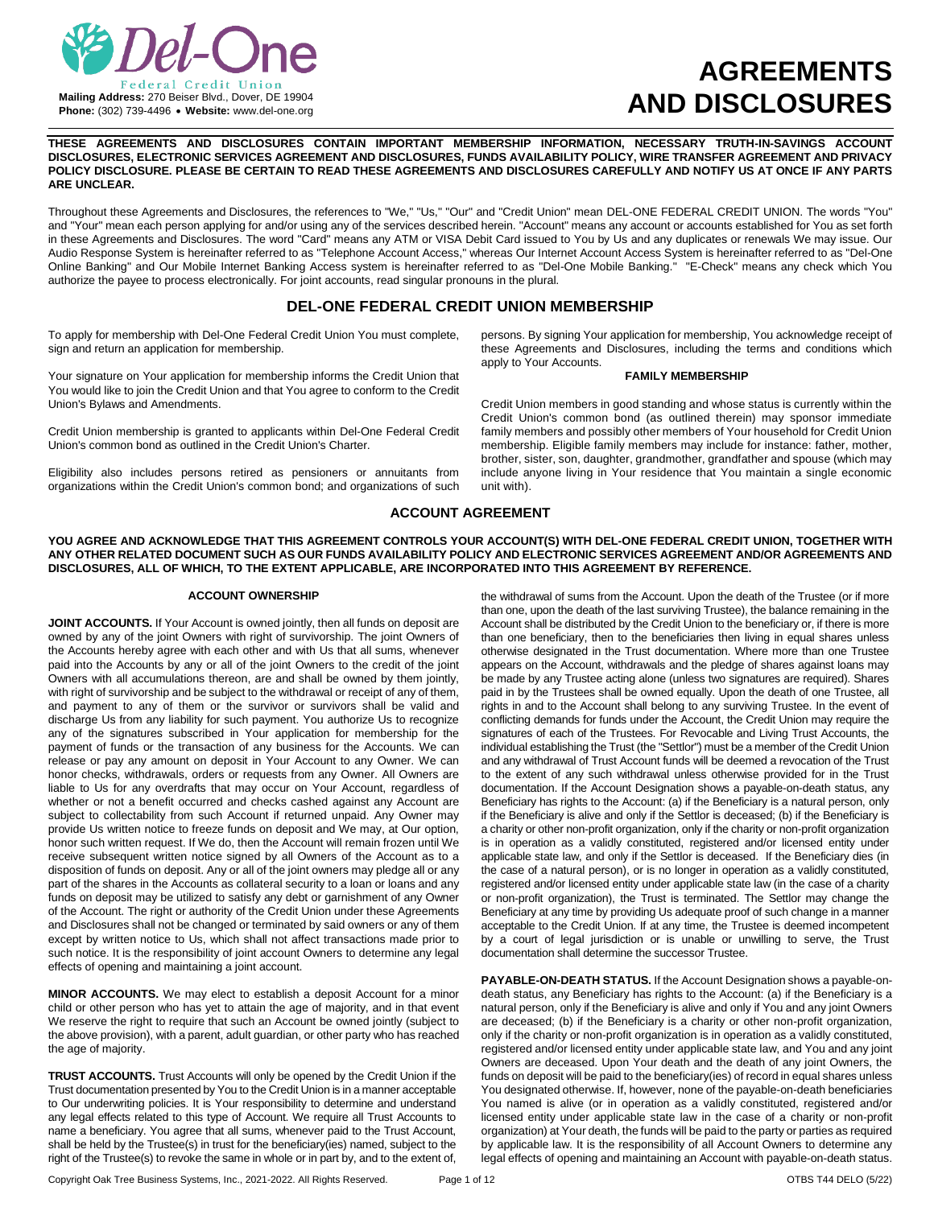

# **AGREEMENTS AND DISCLOSURES**

**THESE AGREEMENTS AND DISCLOSURES CONTAIN IMPORTANT MEMBERSHIP INFORMATION, NECESSARY TRUTH-IN-SAVINGS ACCOUNT DISCLOSURES, ELECTRONIC SERVICES AGREEMENT AND DISCLOSURES, FUNDS AVAILABILITY POLICY, WIRE TRANSFER AGREEMENT AND PRIVACY POLICY DISCLOSURE. PLEASE BE CERTAIN TO READ THESE AGREEMENTS AND DISCLOSURES CAREFULLY AND NOTIFY US AT ONCE IF ANY PARTS ARE UNCLEAR.**

Throughout these Agreements and Disclosures, the references to "We," "Us," "Our" and "Credit Union" mean DEL-ONE FEDERAL CREDIT UNION. The words "You" and "Your" mean each person applying for and/or using any of the services described herein. "Account" means any account or accounts established for You as set forth in these Agreements and Disclosures. The word "Card" means any ATM or VISA Debit Card issued to You by Us and any duplicates or renewals We may issue. Our Audio Response System is hereinafter referred to as "Telephone Account Access," whereas Our Internet Account Access System is hereinafter referred to as "Del-One Online Banking" and Our Mobile Internet Banking Access system is hereinafter referred to as "Del-One Mobile Banking." "E-Check" means any check which You authorize the payee to process electronically. For joint accounts, read singular pronouns in the plural.

# **DEL-ONE FEDERAL CREDIT UNION MEMBERSHIP**

To apply for membership with Del-One Federal Credit Union You must complete, sign and return an application for membership.

Your signature on Your application for membership informs the Credit Union that You would like to join the Credit Union and that You agree to conform to the Credit Union's Bylaws and Amendments.

Credit Union membership is granted to applicants within Del-One Federal Credit Union's common bond as outlined in the Credit Union's Charter.

Eligibility also includes persons retired as pensioners or annuitants from organizations within the Credit Union's common bond; and organizations of such persons. By signing Your application for membership, You acknowledge receipt of these Agreements and Disclosures, including the terms and conditions which apply to Your Accounts.

#### **FAMILY MEMBERSHIP**

Credit Union members in good standing and whose status is currently within the Credit Union's common bond (as outlined therein) may sponsor immediate family members and possibly other members of Your household for Credit Union membership. Eligible family members may include for instance: father, mother, brother, sister, son, daughter, grandmother, grandfather and spouse (which may include anyone living in Your residence that You maintain a single economic unit with).

## **ACCOUNT AGREEMENT**

**YOU AGREE AND ACKNOWLEDGE THAT THIS AGREEMENT CONTROLS YOUR ACCOUNT(S) WITH DEL-ONE FEDERAL CREDIT UNION, TOGETHER WITH ANY OTHER RELATED DOCUMENT SUCH AS OUR FUNDS AVAILABILITY POLICY AND ELECTRONIC SERVICES AGREEMENT AND/OR AGREEMENTS AND DISCLOSURES, ALL OF WHICH, TO THE EXTENT APPLICABLE, ARE INCORPORATED INTO THIS AGREEMENT BY REFERENCE.**

#### **ACCOUNT OWNERSHIP**

**JOINT ACCOUNTS.** If Your Account is owned jointly, then all funds on deposit are owned by any of the joint Owners with right of survivorship. The joint Owners of the Accounts hereby agree with each other and with Us that all sums, whenever paid into the Accounts by any or all of the joint Owners to the credit of the joint Owners with all accumulations thereon, are and shall be owned by them jointly, with right of survivorship and be subject to the withdrawal or receipt of any of them, and payment to any of them or the survivor or survivors shall be valid and discharge Us from any liability for such payment. You authorize Us to recognize any of the signatures subscribed in Your application for membership for the payment of funds or the transaction of any business for the Accounts. We can release or pay any amount on deposit in Your Account to any Owner. We can honor checks, withdrawals, orders or requests from any Owner. All Owners are liable to Us for any overdrafts that may occur on Your Account, regardless of whether or not a benefit occurred and checks cashed against any Account are subject to collectability from such Account if returned unpaid. Any Owner may provide Us written notice to freeze funds on deposit and We may, at Our option, honor such written request. If We do, then the Account will remain frozen until We receive subsequent written notice signed by all Owners of the Account as to a disposition of funds on deposit. Any or all of the joint owners may pledge all or any part of the shares in the Accounts as collateral security to a loan or loans and any funds on deposit may be utilized to satisfy any debt or garnishment of any Owner of the Account. The right or authority of the Credit Union under these Agreements and Disclosures shall not be changed or terminated by said owners or any of them except by written notice to Us, which shall not affect transactions made prior to such notice. It is the responsibility of joint account Owners to determine any legal effects of opening and maintaining a joint account.

**MINOR ACCOUNTS.** We may elect to establish a deposit Account for a minor child or other person who has yet to attain the age of majority, and in that event We reserve the right to require that such an Account be owned jointly (subject to the above provision), with a parent, adult guardian, or other party who has reached the age of majority.

**TRUST ACCOUNTS.** Trust Accounts will only be opened by the Credit Union if the Trust documentation presented by You to the Credit Union is in a manner acceptable to Our underwriting policies. It is Your responsibility to determine and understand any legal effects related to this type of Account. We require all Trust Accounts to name a beneficiary. You agree that all sums, whenever paid to the Trust Account, shall be held by the Trustee(s) in trust for the beneficiary(ies) named, subject to the right of the Trustee(s) to revoke the same in whole or in part by, and to the extent of,

the withdrawal of sums from the Account. Upon the death of the Trustee (or if more than one, upon the death of the last surviving Trustee), the balance remaining in the Account shall be distributed by the Credit Union to the beneficiary or, if there is more than one beneficiary, then to the beneficiaries then living in equal shares unless otherwise designated in the Trust documentation. Where more than one Trustee appears on the Account, withdrawals and the pledge of shares against loans may be made by any Trustee acting alone (unless two signatures are required). Shares paid in by the Trustees shall be owned equally. Upon the death of one Trustee, all rights in and to the Account shall belong to any surviving Trustee. In the event of conflicting demands for funds under the Account, the Credit Union may require the signatures of each of the Trustees. For Revocable and Living Trust Accounts, the individual establishing the Trust (the "Settlor") must be a member of the Credit Union and any withdrawal of Trust Account funds will be deemed a revocation of the Trust to the extent of any such withdrawal unless otherwise provided for in the Trust documentation. If the Account Designation shows a payable-on-death status, any Beneficiary has rights to the Account: (a) if the Beneficiary is a natural person, only if the Beneficiary is alive and only if the Settlor is deceased; (b) if the Beneficiary is a charity or other non-profit organization, only if the charity or non-profit organization is in operation as a validly constituted, registered and/or licensed entity under applicable state law, and only if the Settlor is deceased. If the Beneficiary dies (in the case of a natural person), or is no longer in operation as a validly constituted, registered and/or licensed entity under applicable state law (in the case of a charity or non-profit organization), the Trust is terminated. The Settlor may change the Beneficiary at any time by providing Us adequate proof of such change in a manner acceptable to the Credit Union. If at any time, the Trustee is deemed incompetent by a court of legal jurisdiction or is unable or unwilling to serve, the Trust documentation shall determine the successor Trustee.

**PAYABLE-ON-DEATH STATUS.** If the Account Designation shows a payable-ondeath status, any Beneficiary has rights to the Account: (a) if the Beneficiary is a natural person, only if the Beneficiary is alive and only if You and any joint Owners are deceased; (b) if the Beneficiary is a charity or other non-profit organization, only if the charity or non-profit organization is in operation as a validly constituted, registered and/or licensed entity under applicable state law, and You and any joint Owners are deceased. Upon Your death and the death of any joint Owners, the funds on deposit will be paid to the beneficiary(ies) of record in equal shares unless You designated otherwise. If, however, none of the payable-on-death beneficiaries You named is alive (or in operation as a validly constituted, registered and/or licensed entity under applicable state law in the case of a charity or non-profit organization) at Your death, the funds will be paid to the party or parties as required by applicable law. It is the responsibility of all Account Owners to determine any legal effects of opening and maintaining an Account with payable-on-death status.

Copyright Oak Tree Business Systems, Inc., 2021-2022. All Rights Reserved. Page 1 of 12 COVERS T44 DELO (5/22)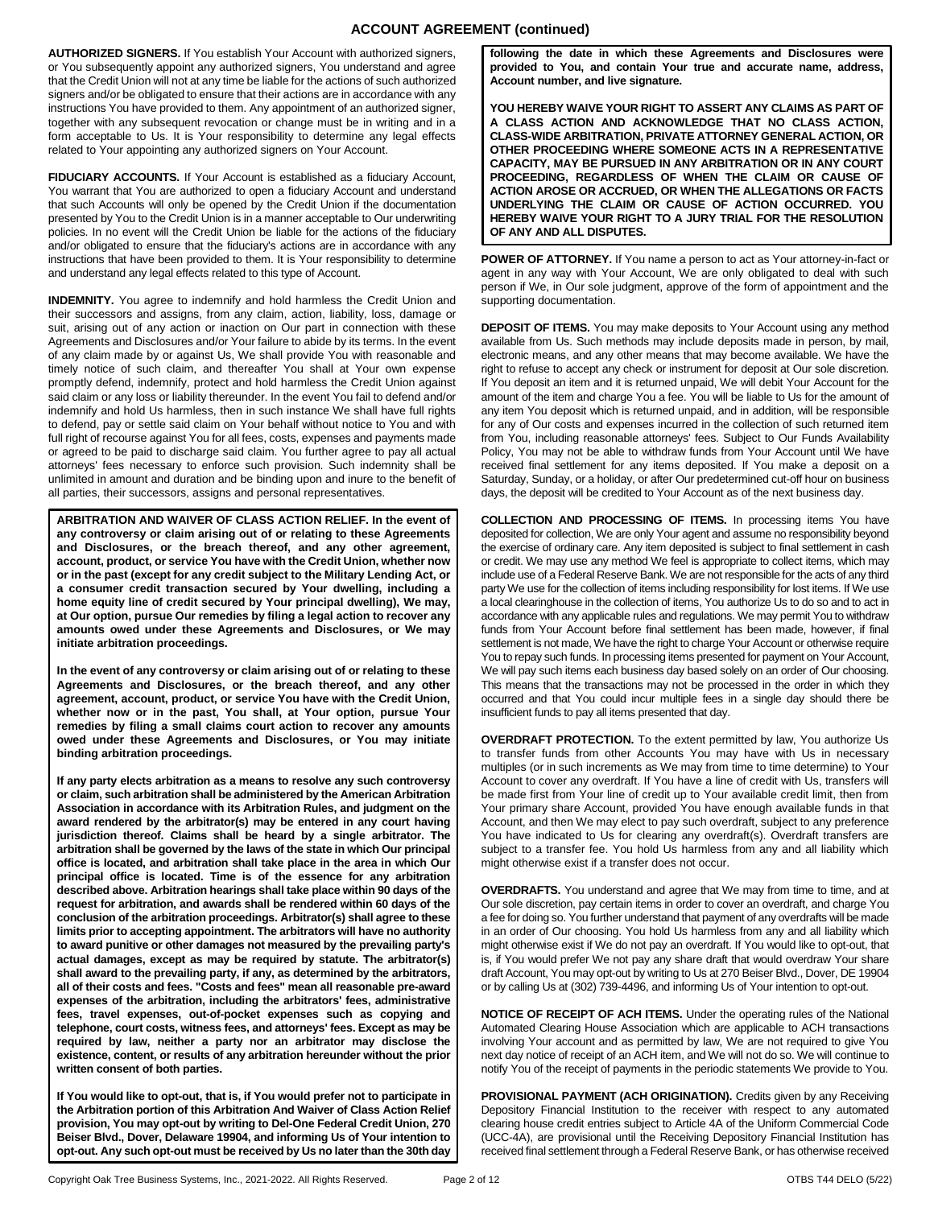# **ACCOUNT AGREEMENT (continued)**

**AUTHORIZED SIGNERS.** If You establish Your Account with authorized signers, or You subsequently appoint any authorized signers, You understand and agree that the Credit Union will not at any time be liable for the actions of such authorized signers and/or be obligated to ensure that their actions are in accordance with any instructions You have provided to them. Any appointment of an authorized signer, together with any subsequent revocation or change must be in writing and in a form acceptable to Us. It is Your responsibility to determine any legal effects related to Your appointing any authorized signers on Your Account.

**FIDUCIARY ACCOUNTS.** If Your Account is established as a fiduciary Account, You warrant that You are authorized to open a fiduciary Account and understand that such Accounts will only be opened by the Credit Union if the documentation presented by You to the Credit Union is in a manner acceptable to Our underwriting policies. In no event will the Credit Union be liable for the actions of the fiduciary and/or obligated to ensure that the fiduciary's actions are in accordance with any instructions that have been provided to them. It is Your responsibility to determine and understand any legal effects related to this type of Account.

**INDEMNITY.** You agree to indemnify and hold harmless the Credit Union and their successors and assigns, from any claim, action, liability, loss, damage or suit, arising out of any action or inaction on Our part in connection with these Agreements and Disclosures and/or Your failure to abide by its terms. In the event of any claim made by or against Us, We shall provide You with reasonable and timely notice of such claim, and thereafter You shall at Your own expense promptly defend, indemnify, protect and hold harmless the Credit Union against said claim or any loss or liability thereunder. In the event You fail to defend and/or indemnify and hold Us harmless, then in such instance We shall have full rights to defend, pay or settle said claim on Your behalf without notice to You and with full right of recourse against You for all fees, costs, expenses and payments made or agreed to be paid to discharge said claim. You further agree to pay all actual attorneys' fees necessary to enforce such provision. Such indemnity shall be unlimited in amount and duration and be binding upon and inure to the benefit of all parties, their successors, assigns and personal representatives.

**ARBITRATION AND WAIVER OF CLASS ACTION RELIEF. In the event of any controversy or claim arising out of or relating to these Agreements and Disclosures, or the breach thereof, and any other agreement, account, product, or service You have with the Credit Union, whether now or in the past (except for any credit subject to the Military Lending Act, or a consumer credit transaction secured by Your dwelling, including a home equity line of credit secured by Your principal dwelling), We may, at Our option, pursue Our remedies by filing a legal action to recover any amounts owed under these Agreements and Disclosures, or We may initiate arbitration proceedings.** 

**In the event of any controversy or claim arising out of or relating to these Agreements and Disclosures, or the breach thereof, and any other agreement, account, product, or service You have with the Credit Union, whether now or in the past, You shall, at Your option, pursue Your remedies by filing a small claims court action to recover any amounts owed under these Agreements and Disclosures, or You may initiate binding arbitration proceedings.**

**If any party elects arbitration as a means to resolve any such controversy or claim, such arbitration shall be administered by the American Arbitration Association in accordance with its Arbitration Rules, and judgment on the award rendered by the arbitrator(s) may be entered in any court having jurisdiction thereof. Claims shall be heard by a single arbitrator. The arbitration shall be governed by the laws of the state in which Our principal office is located, and arbitration shall take place in the area in which Our principal office is located. Time is of the essence for any arbitration described above. Arbitration hearings shall take place within 90 days of the request for arbitration, and awards shall be rendered within 60 days of the conclusion of the arbitration proceedings. Arbitrator(s) shall agree to these limits prior to accepting appointment. The arbitrators will have no authority to award punitive or other damages not measured by the prevailing party's actual damages, except as may be required by statute. The arbitrator(s) shall award to the prevailing party, if any, as determined by the arbitrators, all of their costs and fees. "Costs and fees" mean all reasonable pre-award expenses of the arbitration, including the arbitrators' fees, administrative fees, travel expenses, out-of-pocket expenses such as copying and telephone, court costs, witness fees, and attorneys' fees. Except as may be required by law, neither a party nor an arbitrator may disclose the existence, content, or results of any arbitration hereunder without the prior written consent of both parties.** 

**If You would like to opt-out, that is, if You would prefer not to participate in the Arbitration portion of this Arbitration And Waiver of Class Action Relief provision, You may opt-out by writing to Del-One Federal Credit Union, 270 Beiser Blvd., Dover, Delaware 19904, and informing Us of Your intention to opt-out. Any such opt-out must be received by Us no later than the 30th day** 

**following the date in which these Agreements and Disclosures were provided to You, and contain Your true and accurate name, address, Account number, and live signature.**

**YOU HEREBY WAIVE YOUR RIGHT TO ASSERT ANY CLAIMS AS PART OF A CLASS ACTION AND ACKNOWLEDGE THAT NO CLASS ACTION, CLASS-WIDE ARBITRATION, PRIVATE ATTORNEY GENERAL ACTION, OR OTHER PROCEEDING WHERE SOMEONE ACTS IN A REPRESENTATIVE CAPACITY, MAY BE PURSUED IN ANY ARBITRATION OR IN ANY COURT PROCEEDING, REGARDLESS OF WHEN THE CLAIM OR CAUSE OF ACTION AROSE OR ACCRUED, OR WHEN THE ALLEGATIONS OR FACTS UNDERLYING THE CLAIM OR CAUSE OF ACTION OCCURRED. YOU HEREBY WAIVE YOUR RIGHT TO A JURY TRIAL FOR THE RESOLUTION OF ANY AND ALL DISPUTES.**

**POWER OF ATTORNEY.** If You name a person to act as Your attorney-in-fact or agent in any way with Your Account, We are only obligated to deal with such person if We, in Our sole judgment, approve of the form of appointment and the supporting documentation.

**DEPOSIT OF ITEMS.** You may make deposits to Your Account using any method available from Us. Such methods may include deposits made in person, by mail, electronic means, and any other means that may become available. We have the right to refuse to accept any check or instrument for deposit at Our sole discretion. If You deposit an item and it is returned unpaid, We will debit Your Account for the amount of the item and charge You a fee. You will be liable to Us for the amount of any item You deposit which is returned unpaid, and in addition, will be responsible for any of Our costs and expenses incurred in the collection of such returned item from You, including reasonable attorneys' fees. Subject to Our Funds Availability Policy, You may not be able to withdraw funds from Your Account until We have received final settlement for any items deposited. If You make a deposit on a Saturday, Sunday, or a holiday, or after Our predetermined cut-off hour on business days, the deposit will be credited to Your Account as of the next business day.

**COLLECTION AND PROCESSING OF ITEMS.** In processing items You have deposited for collection, We are only Your agent and assume no responsibility beyond the exercise of ordinary care. Any item deposited is subject to final settlement in cash or credit. We may use any method We feel is appropriate to collect items, which may include use of a Federal Reserve Bank. We are not responsible for the acts of any third party We use for the collection of items including responsibility for lost items. If We use a local clearinghouse in the collection of items, You authorize Us to do so and to act in accordance with any applicable rules and regulations. We may permit You to withdraw funds from Your Account before final settlement has been made, however, if final settlement is not made, We have the right to charge Your Account or otherwise require You to repay such funds. In processing items presented for payment on Your Account, We will pay such items each business day based solely on an order of Our choosing. This means that the transactions may not be processed in the order in which they occurred and that You could incur multiple fees in a single day should there be insufficient funds to pay all items presented that day.

**OVERDRAFT PROTECTION.** To the extent permitted by law, You authorize Us to transfer funds from other Accounts You may have with Us in necessary multiples (or in such increments as We may from time to time determine) to Your Account to cover any overdraft. If You have a line of credit with Us, transfers will be made first from Your line of credit up to Your available credit limit, then from Your primary share Account, provided You have enough available funds in that Account, and then We may elect to pay such overdraft, subject to any preference You have indicated to Us for clearing any overdraft(s). Overdraft transfers are subject to a transfer fee. You hold Us harmless from any and all liability which might otherwise exist if a transfer does not occur.

**OVERDRAFTS.** You understand and agree that We may from time to time, and at Our sole discretion, pay certain items in order to cover an overdraft, and charge You a fee for doing so. You further understand that payment of any overdrafts will be made in an order of Our choosing. You hold Us harmless from any and all liability which might otherwise exist if We do not pay an overdraft. If You would like to opt-out, that is, if You would prefer We not pay any share draft that would overdraw Your share draft Account, You may opt-out by writing to Us at 270 Beiser Blvd., Dover, DE 19904 or by calling Us at (302) 739-4496, and informing Us of Your intention to opt-out.

**NOTICE OF RECEIPT OF ACH ITEMS.** Under the operating rules of the National Automated Clearing House Association which are applicable to ACH transactions involving Your account and as permitted by law, We are not required to give You next day notice of receipt of an ACH item, and We will not do so. We will continue to notify You of the receipt of payments in the periodic statements We provide to You.

**PROVISIONAL PAYMENT (ACH ORIGINATION).** Credits given by any Receiving Depository Financial Institution to the receiver with respect to any automated clearing house credit entries subject to Article 4A of the Uniform Commercial Code (UCC-4A), are provisional until the Receiving Depository Financial Institution has received final settlement through a Federal Reserve Bank, or has otherwise received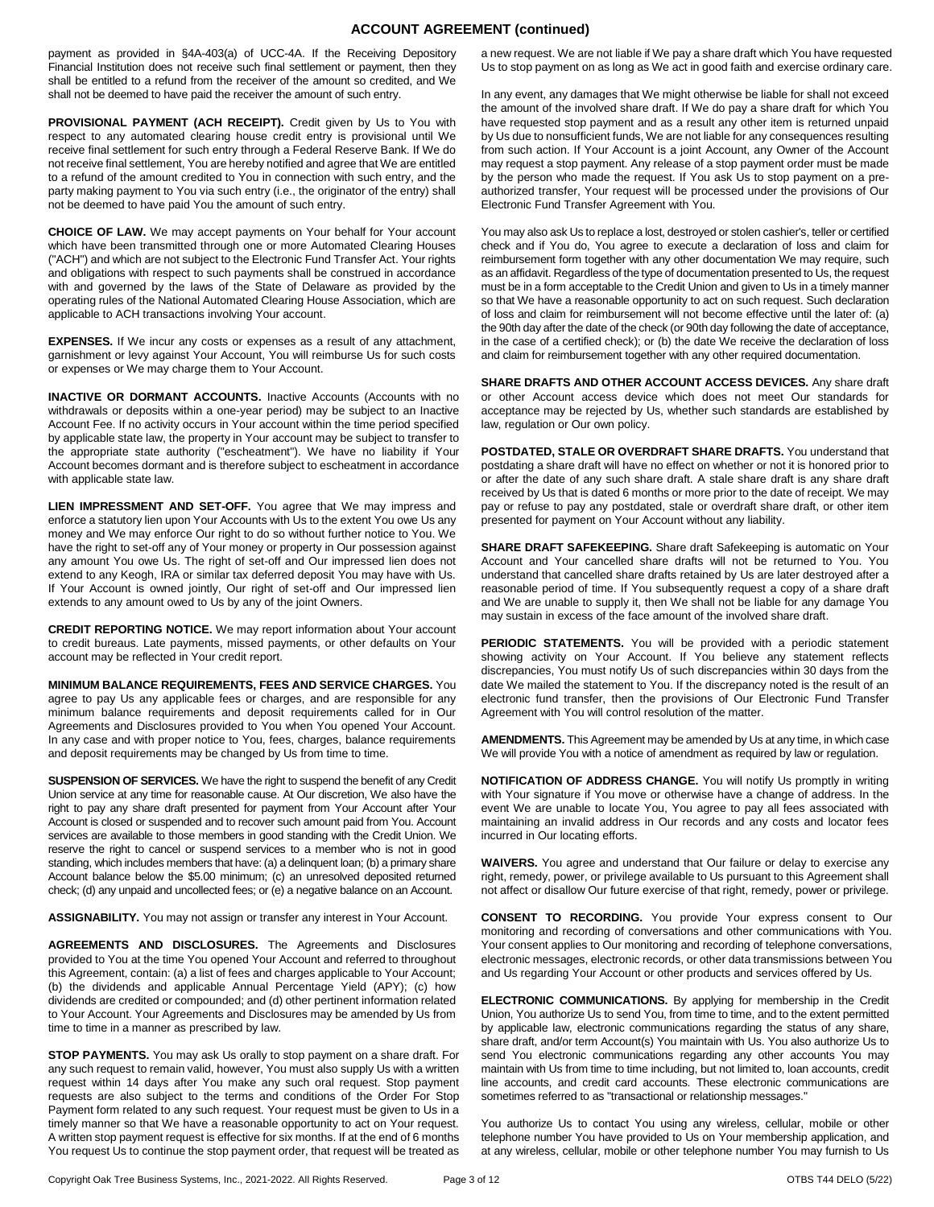## **ACCOUNT AGREEMENT (continued)**

payment as provided in §4A-403(a) of UCC-4A. If the Receiving Depository Financial Institution does not receive such final settlement or payment, then they shall be entitled to a refund from the receiver of the amount so credited, and We shall not be deemed to have paid the receiver the amount of such entry.

PROVISIONAL PAYMENT (ACH RECEIPT). Credit given by Us to You with respect to any automated clearing house credit entry is provisional until We receive final settlement for such entry through a Federal Reserve Bank. If We do not receive final settlement, You are hereby notified and agree that We are entitled to a refund of the amount credited to You in connection with such entry, and the party making payment to You via such entry (i.e., the originator of the entry) shall not be deemed to have paid You the amount of such entry.

**CHOICE OF LAW.** We may accept payments on Your behalf for Your account which have been transmitted through one or more Automated Clearing Houses ("ACH") and which are not subject to the Electronic Fund Transfer Act. Your rights and obligations with respect to such payments shall be construed in accordance with and governed by the laws of the State of Delaware as provided by the operating rules of the National Automated Clearing House Association, which are applicable to ACH transactions involving Your account.

**EXPENSES.** If We incur any costs or expenses as a result of any attachment, garnishment or levy against Your Account, You will reimburse Us for such costs or expenses or We may charge them to Your Account.

**INACTIVE OR DORMANT ACCOUNTS.** Inactive Accounts (Accounts with no withdrawals or deposits within a one-year period) may be subject to an Inactive Account Fee. If no activity occurs in Your account within the time period specified by applicable state law, the property in Your account may be subject to transfer to the appropriate state authority ("escheatment"). We have no liability if Your Account becomes dormant and is therefore subject to escheatment in accordance with applicable state law.

**LIEN IMPRESSMENT AND SET-OFF.** You agree that We may impress and enforce a statutory lien upon Your Accounts with Us to the extent You owe Us any money and We may enforce Our right to do so without further notice to You. We have the right to set-off any of Your money or property in Our possession against any amount You owe Us. The right of set-off and Our impressed lien does not extend to any Keogh, IRA or similar tax deferred deposit You may have with Us. If Your Account is owned jointly, Our right of set-off and Our impressed lien extends to any amount owed to Us by any of the joint Owners.

**CREDIT REPORTING NOTICE.** We may report information about Your account to credit bureaus. Late payments, missed payments, or other defaults on Your account may be reflected in Your credit report.

**MINIMUM BALANCE REQUIREMENTS, FEES AND SERVICE CHARGES.** You agree to pay Us any applicable fees or charges, and are responsible for any minimum balance requirements and deposit requirements called for in Our Agreements and Disclosures provided to You when You opened Your Account. In any case and with proper notice to You, fees, charges, balance requirements and deposit requirements may be changed by Us from time to time.

**SUSPENSION OF SERVICES.** We have the right to suspend the benefit of any Credit Union service at any time for reasonable cause. At Our discretion, We also have the right to pay any share draft presented for payment from Your Account after Your Account is closed or suspended and to recover such amount paid from You. Account services are available to those members in good standing with the Credit Union. We reserve the right to cancel or suspend services to a member who is not in good standing, which includes members that have: (a) a delinquent loan; (b) a primary share Account balance below the \$5.00 minimum; (c) an unresolved deposited returned check; (d) any unpaid and uncollected fees; or (e) a negative balance on an Account.

**ASSIGNABILITY.** You may not assign or transfer any interest in Your Account.

**AGREEMENTS AND DISCLOSURES.** The Agreements and Disclosures provided to You at the time You opened Your Account and referred to throughout this Agreement, contain: (a) a list of fees and charges applicable to Your Account; (b) the dividends and applicable Annual Percentage Yield (APY); (c) how dividends are credited or compounded; and (d) other pertinent information related to Your Account. Your Agreements and Disclosures may be amended by Us from time to time in a manner as prescribed by law.

**STOP PAYMENTS.** You may ask Us orally to stop payment on a share draft. For any such request to remain valid, however, You must also supply Us with a written request within 14 days after You make any such oral request. Stop payment requests are also subject to the terms and conditions of the Order For Stop Payment form related to any such request. Your request must be given to Us in a timely manner so that We have a reasonable opportunity to act on Your request. A written stop payment request is effective for six months. If at the end of 6 months You request Us to continue the stop payment order, that request will be treated as a new request. We are not liable if We pay a share draft which You have requested Us to stop payment on as long as We act in good faith and exercise ordinary care.

In any event, any damages that We might otherwise be liable for shall not exceed the amount of the involved share draft. If We do pay a share draft for which You have requested stop payment and as a result any other item is returned unpaid by Us due to nonsufficient funds, We are not liable for any consequences resulting from such action. If Your Account is a joint Account, any Owner of the Account may request a stop payment. Any release of a stop payment order must be made by the person who made the request. If You ask Us to stop payment on a preauthorized transfer, Your request will be processed under the provisions of Our Electronic Fund Transfer Agreement with You.

You may also ask Us to replace a lost, destroyed or stolen cashier's, teller or certified check and if You do, You agree to execute a declaration of loss and claim for reimbursement form together with any other documentation We may require, such as an affidavit. Regardless of the type of documentation presented to Us, the request must be in a form acceptable to the Credit Union and given to Us in a timely manner so that We have a reasonable opportunity to act on such request. Such declaration of loss and claim for reimbursement will not become effective until the later of: (a) the 90th day after the date of the check (or 90th day following the date of acceptance, in the case of a certified check); or (b) the date We receive the declaration of loss and claim for reimbursement together with any other required documentation.

**SHARE DRAFTS AND OTHER ACCOUNT ACCESS DEVICES.** Any share draft or other Account access device which does not meet Our standards for acceptance may be rejected by Us, whether such standards are established by law, regulation or Our own policy.

**POSTDATED, STALE OR OVERDRAFT SHARE DRAFTS.** You understand that postdating a share draft will have no effect on whether or not it is honored prior to or after the date of any such share draft. A stale share draft is any share draft received by Us that is dated 6 months or more prior to the date of receipt. We may pay or refuse to pay any postdated, stale or overdraft share draft, or other item presented for payment on Your Account without any liability.

SHARE DRAFT SAFEKEEPING. Share draft Safekeeping is automatic on Your Account and Your cancelled share drafts will not be returned to You. You understand that cancelled share drafts retained by Us are later destroyed after a reasonable period of time. If You subsequently request a copy of a share draft and We are unable to supply it, then We shall not be liable for any damage You may sustain in excess of the face amount of the involved share draft.

**PERIODIC STATEMENTS.** You will be provided with a periodic statement showing activity on Your Account. If You believe any statement reflects discrepancies, You must notify Us of such discrepancies within 30 days from the date We mailed the statement to You. If the discrepancy noted is the result of an electronic fund transfer, then the provisions of Our Electronic Fund Transfer Agreement with You will control resolution of the matter.

**AMENDMENTS.** This Agreement may be amended by Us at any time, in which case We will provide You with a notice of amendment as required by law or regulation.

**NOTIFICATION OF ADDRESS CHANGE.** You will notify Us promptly in writing with Your signature if You move or otherwise have a change of address. In the event We are unable to locate You, You agree to pay all fees associated with maintaining an invalid address in Our records and any costs and locator fees incurred in Our locating efforts.

**WAIVERS.** You agree and understand that Our failure or delay to exercise any right, remedy, power, or privilege available to Us pursuant to this Agreement shall not affect or disallow Our future exercise of that right, remedy, power or privilege.

**CONSENT TO RECORDING.** You provide Your express consent to Our monitoring and recording of conversations and other communications with You. Your consent applies to Our monitoring and recording of telephone conversations, electronic messages, electronic records, or other data transmissions between You and Us regarding Your Account or other products and services offered by Us.

**ELECTRONIC COMMUNICATIONS.** By applying for membership in the Credit Union, You authorize Us to send You, from time to time, and to the extent permitted by applicable law, electronic communications regarding the status of any share, share draft, and/or term Account(s) You maintain with Us. You also authorize Us to send You electronic communications regarding any other accounts You may maintain with Us from time to time including, but not limited to, loan accounts, credit line accounts, and credit card accounts. These electronic communications are sometimes referred to as "transactional or relationship messages."

You authorize Us to contact You using any wireless, cellular, mobile or other telephone number You have provided to Us on Your membership application, and at any wireless, cellular, mobile or other telephone number You may furnish to Us

Copyright Oak Tree Business Systems, Inc., 2021-2022. All Rights Reserved. Page 3 of 12 OTBS T44 DELO (5/22)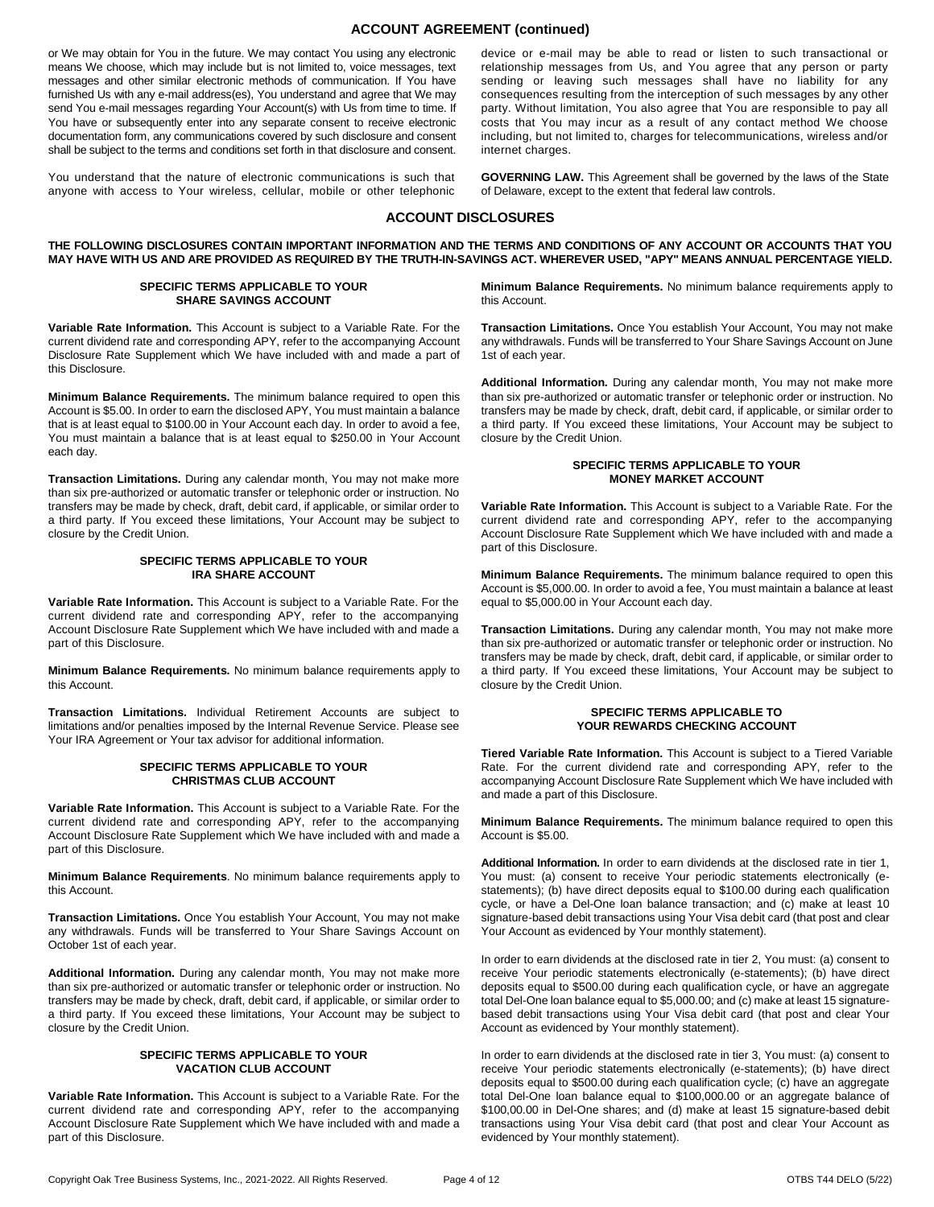## **ACCOUNT AGREEMENT (continued)**

or We may obtain for You in the future. We may contact You using any electronic means We choose, which may include but is not limited to, voice messages, text messages and other similar electronic methods of communication. If You have furnished Us with any e-mail address(es), You understand and agree that We may send You e-mail messages regarding Your Account(s) with Us from time to time. If You have or subsequently enter into any separate consent to receive electronic documentation form, any communications covered by such disclosure and consent shall be subject to the terms and conditions set forth in that disclosure and consent.

You understand that the nature of electronic communications is such that anyone with access to Your wireless, cellular, mobile or other telephonic

device or e-mail may be able to read or listen to such transactional or relationship messages from Us, and You agree that any person or party sending or leaving such messages shall have no liability for any consequences resulting from the interception of such messages by any other party. Without limitation, You also agree that You are responsible to pay all costs that You may incur as a result of any contact method We choose including, but not limited to, charges for telecommunications, wireless and/or internet charges.

**GOVERNING LAW.** This Agreement shall be governed by the laws of the State of Delaware, except to the extent that federal law controls.

## **ACCOUNT DISCLOSURES**

**THE FOLLOWING DISCLOSURES CONTAIN IMPORTANT INFORMATION AND THE TERMS AND CONDITIONS OF ANY ACCOUNT OR ACCOUNTS THAT YOU MAY HAVE WITH US AND ARE PROVIDED AS REQUIRED BY THE TRUTH-IN-SAVINGS ACT. WHEREVER USED, "APY" MEANS ANNUAL PERCENTAGE YIELD.**

#### **SPECIFIC TERMS APPLICABLE TO YOUR SHARE SAVINGS ACCOUNT**

**Variable Rate Information.** This Account is subject to a Variable Rate. For the current dividend rate and corresponding APY, refer to the accompanying Account Disclosure Rate Supplement which We have included with and made a part of this Disclosure.

**Minimum Balance Requirements.** The minimum balance required to open this Account is \$5.00. In order to earn the disclosed APY, You must maintain a balance that is at least equal to \$100.00 in Your Account each day. In order to avoid a fee, You must maintain a balance that is at least equal to \$250.00 in Your Account each day.

**Transaction Limitations.** During any calendar month, You may not make more than six pre-authorized or automatic transfer or telephonic order or instruction. No transfers may be made by check, draft, debit card, if applicable, or similar order to a third party. If You exceed these limitations, Your Account may be subject to closure by the Credit Union.

#### **SPECIFIC TERMS APPLICABLE TO YOUR IRA SHARE ACCOUNT**

**Variable Rate Information.** This Account is subject to a Variable Rate. For the current dividend rate and corresponding APY, refer to the accompanying Account Disclosure Rate Supplement which We have included with and made a part of this Disclosure.

**Minimum Balance Requirements.** No minimum balance requirements apply to this Account.

**Transaction Limitations.** Individual Retirement Accounts are subject to limitations and/or penalties imposed by the Internal Revenue Service. Please see Your IRA Agreement or Your tax advisor for additional information.

#### **SPECIFIC TERMS APPLICABLE TO YOUR CHRISTMAS CLUB ACCOUNT**

**Variable Rate Information.** This Account is subject to a Variable Rate. For the current dividend rate and corresponding APY, refer to the accompanying Account Disclosure Rate Supplement which We have included with and made a part of this Disclosure.

**Minimum Balance Requirements**. No minimum balance requirements apply to this Account.

**Transaction Limitations.** Once You establish Your Account, You may not make any withdrawals. Funds will be transferred to Your Share Savings Account on October 1st of each year.

**Additional Information.** During any calendar month, You may not make more than six pre-authorized or automatic transfer or telephonic order or instruction. No transfers may be made by check, draft, debit card, if applicable, or similar order to a third party. If You exceed these limitations, Your Account may be subject to closure by the Credit Union.

#### **SPECIFIC TERMS APPLICABLE TO YOUR VACATION CLUB ACCOUNT**

**Variable Rate Information.** This Account is subject to a Variable Rate. For the current dividend rate and corresponding APY, refer to the accompanying Account Disclosure Rate Supplement which We have included with and made a part of this Disclosure.

**Minimum Balance Requirements.** No minimum balance requirements apply to this Account.

**Transaction Limitations.** Once You establish Your Account, You may not make any withdrawals. Funds will be transferred to Your Share Savings Account on June 1st of each year.

**Additional Information.** During any calendar month, You may not make more than six pre-authorized or automatic transfer or telephonic order or instruction. No transfers may be made by check, draft, debit card, if applicable, or similar order to a third party. If You exceed these limitations, Your Account may be subject to closure by the Credit Union.

#### **SPECIFIC TERMS APPLICABLE TO YOUR MONEY MARKET ACCOUNT**

**Variable Rate Information.** This Account is subject to a Variable Rate. For the current dividend rate and corresponding APY, refer to the accompanying Account Disclosure Rate Supplement which We have included with and made a part of this Disclosure.

**Minimum Balance Requirements.** The minimum balance required to open this Account is \$5,000.00. In order to avoid a fee, You must maintain a balance at least equal to \$5,000.00 in Your Account each day.

**Transaction Limitations.** During any calendar month, You may not make more than six pre-authorized or automatic transfer or telephonic order or instruction. No transfers may be made by check, draft, debit card, if applicable, or similar order to a third party. If You exceed these limitations, Your Account may be subject to closure by the Credit Union.

#### **SPECIFIC TERMS APPLICABLE TO YOUR REWARDS CHECKING ACCOUNT**

**Tiered Variable Rate Information.** This Account is subject to a Tiered Variable Rate. For the current dividend rate and corresponding APY, refer to the accompanying Account Disclosure Rate Supplement which We have included with and made a part of this Disclosure.

**Minimum Balance Requirements.** The minimum balance required to open this Account is \$5.00.

**Additional Information.** In order to earn dividends at the disclosed rate in tier 1, You must: (a) consent to receive Your periodic statements electronically (estatements); (b) have direct deposits equal to \$100.00 during each qualification cycle, or have a Del-One loan balance transaction; and (c) make at least 10 signature-based debit transactions using Your Visa debit card (that post and clear Your Account as evidenced by Your monthly statement).

In order to earn dividends at the disclosed rate in tier 2, You must: (a) consent to receive Your periodic statements electronically (e-statements); (b) have direct deposits equal to \$500.00 during each qualification cycle, or have an aggregate total Del-One loan balance equal to \$5,000.00; and (c) make at least 15 signaturebased debit transactions using Your Visa debit card (that post and clear Your Account as evidenced by Your monthly statement).

In order to earn dividends at the disclosed rate in tier 3, You must: (a) consent to receive Your periodic statements electronically (e-statements); (b) have direct deposits equal to \$500.00 during each qualification cycle; (c) have an aggregate total Del-One loan balance equal to \$100,000.00 or an aggregate balance of \$100,00.00 in Del-One shares; and (d) make at least 15 signature-based debit transactions using Your Visa debit card (that post and clear Your Account as evidenced by Your monthly statement).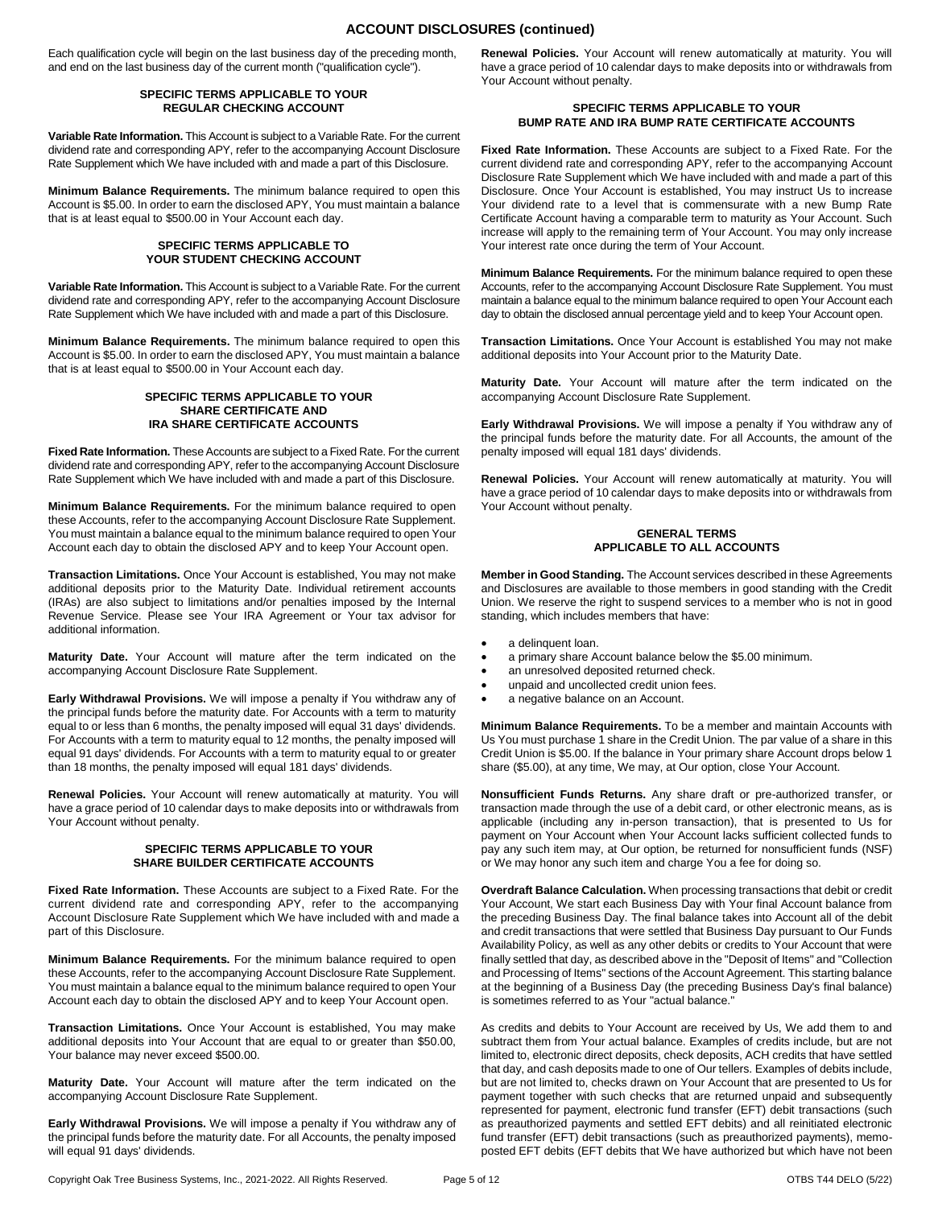## **ACCOUNT DISCLOSURES (continued)**

Each qualification cycle will begin on the last business day of the preceding month, and end on the last business day of the current month ("qualification cycle").

#### **SPECIFIC TERMS APPLICABLE TO YOUR REGULAR CHECKING ACCOUNT**

**Variable Rate Information.** This Account is subject to a Variable Rate. For the current dividend rate and corresponding APY, refer to the accompanying Account Disclosure Rate Supplement which We have included with and made a part of this Disclosure.

**Minimum Balance Requirements.** The minimum balance required to open this Account is \$5.00. In order to earn the disclosed APY, You must maintain a balance that is at least equal to \$500.00 in Your Account each day.

#### **SPECIFIC TERMS APPLICABLE TO YOUR STUDENT CHECKING ACCOUNT**

**Variable Rate Information.** This Account is subject to a Variable Rate. For the current dividend rate and corresponding APY, refer to the accompanying Account Disclosure Rate Supplement which We have included with and made a part of this Disclosure.

**Minimum Balance Requirements.** The minimum balance required to open this Account is \$5.00. In order to earn the disclosed APY, You must maintain a balance that is at least equal to \$500.00 in Your Account each day.

#### **SPECIFIC TERMS APPLICABLE TO YOUR SHARE CERTIFICATE AND IRA SHARE CERTIFICATE ACCOUNTS**

**Fixed Rate Information.** These Accounts are subject to a Fixed Rate. For the current dividend rate and corresponding APY, refer to the accompanying Account Disclosure Rate Supplement which We have included with and made a part of this Disclosure.

**Minimum Balance Requirements.** For the minimum balance required to open these Accounts, refer to the accompanying Account Disclosure Rate Supplement. You must maintain a balance equal to the minimum balance required to open Your Account each day to obtain the disclosed APY and to keep Your Account open.

**Transaction Limitations.** Once Your Account is established, You may not make additional deposits prior to the Maturity Date. Individual retirement accounts (IRAs) are also subject to limitations and/or penalties imposed by the Internal Revenue Service. Please see Your IRA Agreement or Your tax advisor for additional information.

**Maturity Date.** Your Account will mature after the term indicated on the accompanying Account Disclosure Rate Supplement.

**Early Withdrawal Provisions.** We will impose a penalty if You withdraw any of the principal funds before the maturity date. For Accounts with a term to maturity equal to or less than 6 months, the penalty imposed will equal 31 days' dividends. For Accounts with a term to maturity equal to 12 months, the penalty imposed will equal 91 days' dividends. For Accounts with a term to maturity equal to or greater than 18 months, the penalty imposed will equal 181 days' dividends.

**Renewal Policies.** Your Account will renew automatically at maturity. You will have a grace period of 10 calendar days to make deposits into or withdrawals from Your Account without penalty.

#### **SPECIFIC TERMS APPLICABLE TO YOUR SHARE BUILDER CERTIFICATE ACCOUNTS**

**Fixed Rate Information.** These Accounts are subject to a Fixed Rate. For the current dividend rate and corresponding APY, refer to the accompanying Account Disclosure Rate Supplement which We have included with and made a part of this Disclosure.

**Minimum Balance Requirements.** For the minimum balance required to open these Accounts, refer to the accompanying Account Disclosure Rate Supplement. You must maintain a balance equal to the minimum balance required to open Your Account each day to obtain the disclosed APY and to keep Your Account open.

**Transaction Limitations.** Once Your Account is established, You may make additional deposits into Your Account that are equal to or greater than \$50.00, Your balance may never exceed \$500.00.

**Maturity Date.** Your Account will mature after the term indicated on the accompanying Account Disclosure Rate Supplement.

**Early Withdrawal Provisions.** We will impose a penalty if You withdraw any of the principal funds before the maturity date. For all Accounts, the penalty imposed will equal 91 days' dividends.

**Renewal Policies.** Your Account will renew automatically at maturity. You will have a grace period of 10 calendar days to make deposits into or withdrawals from Your Account without penalty.

#### **SPECIFIC TERMS APPLICABLE TO YOUR BUMP RATE AND IRA BUMP RATE CERTIFICATE ACCOUNTS**

**Fixed Rate Information.** These Accounts are subject to a Fixed Rate. For the current dividend rate and corresponding APY, refer to the accompanying Account Disclosure Rate Supplement which We have included with and made a part of this Disclosure. Once Your Account is established, You may instruct Us to increase Your dividend rate to a level that is commensurate with a new Bump Rate Certificate Account having a comparable term to maturity as Your Account. Such increase will apply to the remaining term of Your Account. You may only increase Your interest rate once during the term of Your Account.

**Minimum Balance Requirements.** For the minimum balance required to open these Accounts, refer to the accompanying Account Disclosure Rate Supplement. You must maintain a balance equal to the minimum balance required to open Your Account each day to obtain the disclosed annual percentage yield and to keep Your Account open.

**Transaction Limitations.** Once Your Account is established You may not make additional deposits into Your Account prior to the Maturity Date.

**Maturity Date.** Your Account will mature after the term indicated on the accompanying Account Disclosure Rate Supplement.

**Early Withdrawal Provisions.** We will impose a penalty if You withdraw any of the principal funds before the maturity date. For all Accounts, the amount of the penalty imposed will equal 181 days' dividends.

**Renewal Policies.** Your Account will renew automatically at maturity. You will have a grace period of 10 calendar days to make deposits into or withdrawals from Your Account without penalty.

#### **GENERAL TERMS APPLICABLE TO ALL ACCOUNTS**

**Member in Good Standing.** The Account services described in these Agreements and Disclosures are available to those members in good standing with the Credit Union. We reserve the right to suspend services to a member who is not in good standing, which includes members that have:

- a delinquent loan.
- a primary share Account balance below the \$5.00 minimum.
- an unresolved deposited returned check.
- unpaid and uncollected credit union fees.
- a negative balance on an Account.

**Minimum Balance Requirements.** To be a member and maintain Accounts with Us You must purchase 1 share in the Credit Union. The par value of a share in this Credit Union is \$5.00. If the balance in Your primary share Account drops below 1 share (\$5.00), at any time, We may, at Our option, close Your Account.

**Nonsufficient Funds Returns.** Any share draft or pre-authorized transfer, or transaction made through the use of a debit card, or other electronic means, as is applicable (including any in-person transaction), that is presented to Us for payment on Your Account when Your Account lacks sufficient collected funds to pay any such item may, at Our option, be returned for nonsufficient funds (NSF) or We may honor any such item and charge You a fee for doing so.

**Overdraft Balance Calculation.** When processing transactions that debit or credit Your Account, We start each Business Day with Your final Account balance from the preceding Business Day. The final balance takes into Account all of the debit and credit transactions that were settled that Business Day pursuant to Our Funds Availability Policy, as well as any other debits or credits to Your Account that were finally settled that day, as described above in the "Deposit of Items" and "Collection and Processing of Items" sections of the Account Agreement. This starting balance at the beginning of a Business Day (the preceding Business Day's final balance) is sometimes referred to as Your "actual balance."

As credits and debits to Your Account are received by Us, We add them to and subtract them from Your actual balance. Examples of credits include, but are not limited to, electronic direct deposits, check deposits, ACH credits that have settled that day, and cash deposits made to one of Our tellers. Examples of debits include, but are not limited to, checks drawn on Your Account that are presented to Us for payment together with such checks that are returned unpaid and subsequently represented for payment, electronic fund transfer (EFT) debit transactions (such as preauthorized payments and settled EFT debits) and all reinitiated electronic fund transfer (EFT) debit transactions (such as preauthorized payments), memoposted EFT debits (EFT debits that We have authorized but which have not been

Copyright Oak Tree Business Systems, Inc., 2021-2022. All Rights Reserved. Page 5 of 12 OTBS T44 DELO (5/22)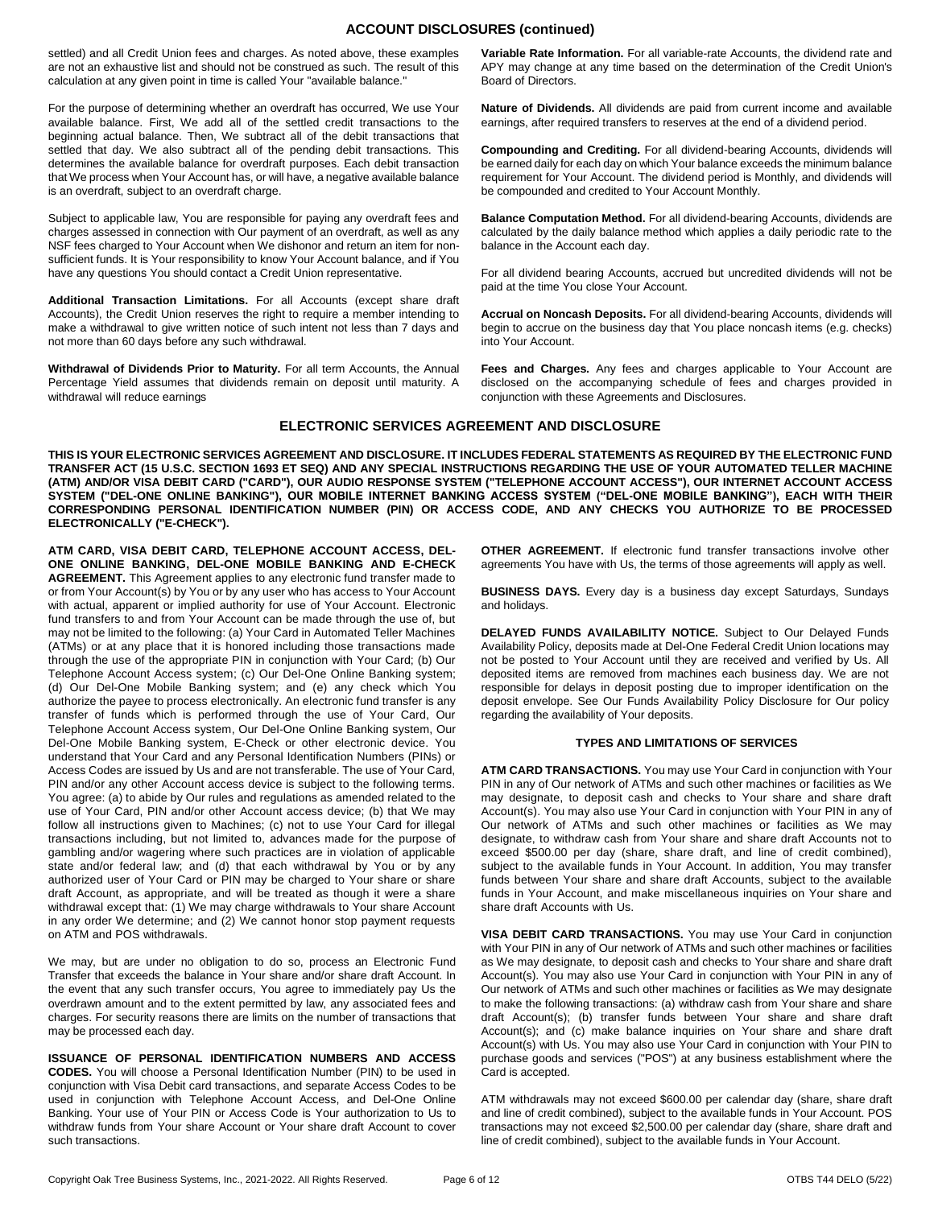## **ACCOUNT DISCLOSURES (continued)**

settled) and all Credit Union fees and charges. As noted above, these examples are not an exhaustive list and should not be construed as such. The result of this calculation at any given point in time is called Your "available balance."

For the purpose of determining whether an overdraft has occurred, We use Your available balance. First, We add all of the settled credit transactions to the beginning actual balance. Then, We subtract all of the debit transactions that settled that day. We also subtract all of the pending debit transactions. This determines the available balance for overdraft purposes. Each debit transaction that We process when Your Account has, or will have, a negative available balance is an overdraft, subject to an overdraft charge.

Subject to applicable law, You are responsible for paying any overdraft fees and charges assessed in connection with Our payment of an overdraft, as well as any NSF fees charged to Your Account when We dishonor and return an item for nonsufficient funds. It is Your responsibility to know Your Account balance, and if You have any questions You should contact a Credit Union representative.

**Additional Transaction Limitations.** For all Accounts (except share draft Accounts), the Credit Union reserves the right to require a member intending to make a withdrawal to give written notice of such intent not less than 7 days and not more than 60 days before any such withdrawal.

**Withdrawal of Dividends Prior to Maturity.** For all term Accounts, the Annual Percentage Yield assumes that dividends remain on deposit until maturity. A withdrawal will reduce earnings

**Variable Rate Information.** For all variable-rate Accounts, the dividend rate and APY may change at any time based on the determination of the Credit Union's Board of Directors.

**Nature of Dividends.** All dividends are paid from current income and available earnings, after required transfers to reserves at the end of a dividend period.

**Compounding and Crediting.** For all dividend-bearing Accounts, dividends will be earned daily for each day on which Your balance exceeds the minimum balance requirement for Your Account. The dividend period is Monthly, and dividends will be compounded and credited to Your Account Monthly.

**Balance Computation Method.** For all dividend-bearing Accounts, dividends are calculated by the daily balance method which applies a daily periodic rate to the balance in the Account each day.

For all dividend bearing Accounts, accrued but uncredited dividends will not be paid at the time You close Your Account.

**Accrual on Noncash Deposits.** For all dividend-bearing Accounts, dividends will begin to accrue on the business day that You place noncash items (e.g. checks) into Your Account.

**Fees and Charges.** Any fees and charges applicable to Your Account are disclosed on the accompanying schedule of fees and charges provided in conjunction with these Agreements and Disclosures.

## **ELECTRONIC SERVICES AGREEMENT AND DISCLOSURE**

**THIS IS YOUR ELECTRONIC SERVICES AGREEMENT AND DISCLOSURE. IT INCLUDES FEDERAL STATEMENTS AS REQUIRED BY THE ELECTRONIC FUND TRANSFER ACT (15 U.S.C. SECTION 1693 ET SEQ) AND ANY SPECIAL INSTRUCTIONS REGARDING THE USE OF YOUR AUTOMATED TELLER MACHINE (ATM) AND/OR VISA DEBIT CARD ("CARD"), OUR AUDIO RESPONSE SYSTEM ("TELEPHONE ACCOUNT ACCESS"), OUR INTERNET ACCOUNT ACCESS SYSTEM ("DEL-ONE ONLINE BANKING"), OUR MOBILE INTERNET BANKING ACCESS SYSTEM ("DEL-ONE MOBILE BANKING"), EACH WITH THEIR CORRESPONDING PERSONAL IDENTIFICATION NUMBER (PIN) OR ACCESS CODE, AND ANY CHECKS YOU AUTHORIZE TO BE PROCESSED ELECTRONICALLY ("E-CHECK").**

**ATM CARD, VISA DEBIT CARD, TELEPHONE ACCOUNT ACCESS, DEL-ONE ONLINE BANKING, DEL-ONE MOBILE BANKING AND E-CHECK AGREEMENT.** This Agreement applies to any electronic fund transfer made to or from Your Account(s) by You or by any user who has access to Your Account with actual, apparent or implied authority for use of Your Account. Electronic fund transfers to and from Your Account can be made through the use of, but may not be limited to the following: (a) Your Card in Automated Teller Machines (ATMs) or at any place that it is honored including those transactions made through the use of the appropriate PIN in conjunction with Your Card; (b) Our Telephone Account Access system; (c) Our Del-One Online Banking system; (d) Our Del-One Mobile Banking system; and (e) any check which You authorize the payee to process electronically. An electronic fund transfer is any transfer of funds which is performed through the use of Your Card, Our Telephone Account Access system, Our Del-One Online Banking system, Our Del-One Mobile Banking system, E-Check or other electronic device. You understand that Your Card and any Personal Identification Numbers (PINs) or Access Codes are issued by Us and are not transferable. The use of Your Card, PIN and/or any other Account access device is subject to the following terms. You agree: (a) to abide by Our rules and regulations as amended related to the use of Your Card, PIN and/or other Account access device; (b) that We may follow all instructions given to Machines; (c) not to use Your Card for illegal transactions including, but not limited to, advances made for the purpose of gambling and/or wagering where such practices are in violation of applicable state and/or federal law; and (d) that each withdrawal by You or by any authorized user of Your Card or PIN may be charged to Your share or share draft Account, as appropriate, and will be treated as though it were a share withdrawal except that: (1) We may charge withdrawals to Your share Account in any order We determine; and (2) We cannot honor stop payment requests on ATM and POS withdrawals.

We may, but are under no obligation to do so, process an Electronic Fund Transfer that exceeds the balance in Your share and/or share draft Account. In the event that any such transfer occurs, You agree to immediately pay Us the overdrawn amount and to the extent permitted by law, any associated fees and charges. For security reasons there are limits on the number of transactions that may be processed each day.

**ISSUANCE OF PERSONAL IDENTIFICATION NUMBERS AND ACCESS CODES.** You will choose a Personal Identification Number (PIN) to be used in conjunction with Visa Debit card transactions, and separate Access Codes to be used in conjunction with Telephone Account Access, and Del-One Online Banking. Your use of Your PIN or Access Code is Your authorization to Us to withdraw funds from Your share Account or Your share draft Account to cover such transactions.

**OTHER AGREEMENT.** If electronic fund transfer transactions involve other agreements You have with Us, the terms of those agreements will apply as well.

**BUSINESS DAYS.** Every day is a business day except Saturdays, Sundays and holidays.

**DELAYED FUNDS AVAILABILITY NOTICE.** Subject to Our Delayed Funds Availability Policy, deposits made at Del-One Federal Credit Union locations may not be posted to Your Account until they are received and verified by Us. All deposited items are removed from machines each business day. We are not responsible for delays in deposit posting due to improper identification on the deposit envelope. See Our Funds Availability Policy Disclosure for Our policy regarding the availability of Your deposits.

#### **TYPES AND LIMITATIONS OF SERVICES**

**ATM CARD TRANSACTIONS.** You may use Your Card in conjunction with Your PIN in any of Our network of ATMs and such other machines or facilities as We may designate, to deposit cash and checks to Your share and share draft Account(s). You may also use Your Card in conjunction with Your PIN in any of Our network of ATMs and such other machines or facilities as We may designate, to withdraw cash from Your share and share draft Accounts not to exceed \$500.00 per day (share, share draft, and line of credit combined), subject to the available funds in Your Account. In addition, You may transfer funds between Your share and share draft Accounts, subject to the available funds in Your Account, and make miscellaneous inquiries on Your share and share draft Accounts with Us.

**VISA DEBIT CARD TRANSACTIONS.** You may use Your Card in conjunction with Your PIN in any of Our network of ATMs and such other machines or facilities as We may designate, to deposit cash and checks to Your share and share draft Account(s). You may also use Your Card in conjunction with Your PIN in any of Our network of ATMs and such other machines or facilities as We may designate to make the following transactions: (a) withdraw cash from Your share and share draft Account(s); (b) transfer funds between Your share and share draft Account(s); and (c) make balance inquiries on Your share and share draft Account(s) with Us. You may also use Your Card in conjunction with Your PIN to purchase goods and services ("POS") at any business establishment where the Card is accepted.

ATM withdrawals may not exceed \$600.00 per calendar day (share, share draft and line of credit combined), subject to the available funds in Your Account. POS transactions may not exceed \$2,500.00 per calendar day (share, share draft and line of credit combined), subject to the available funds in Your Account.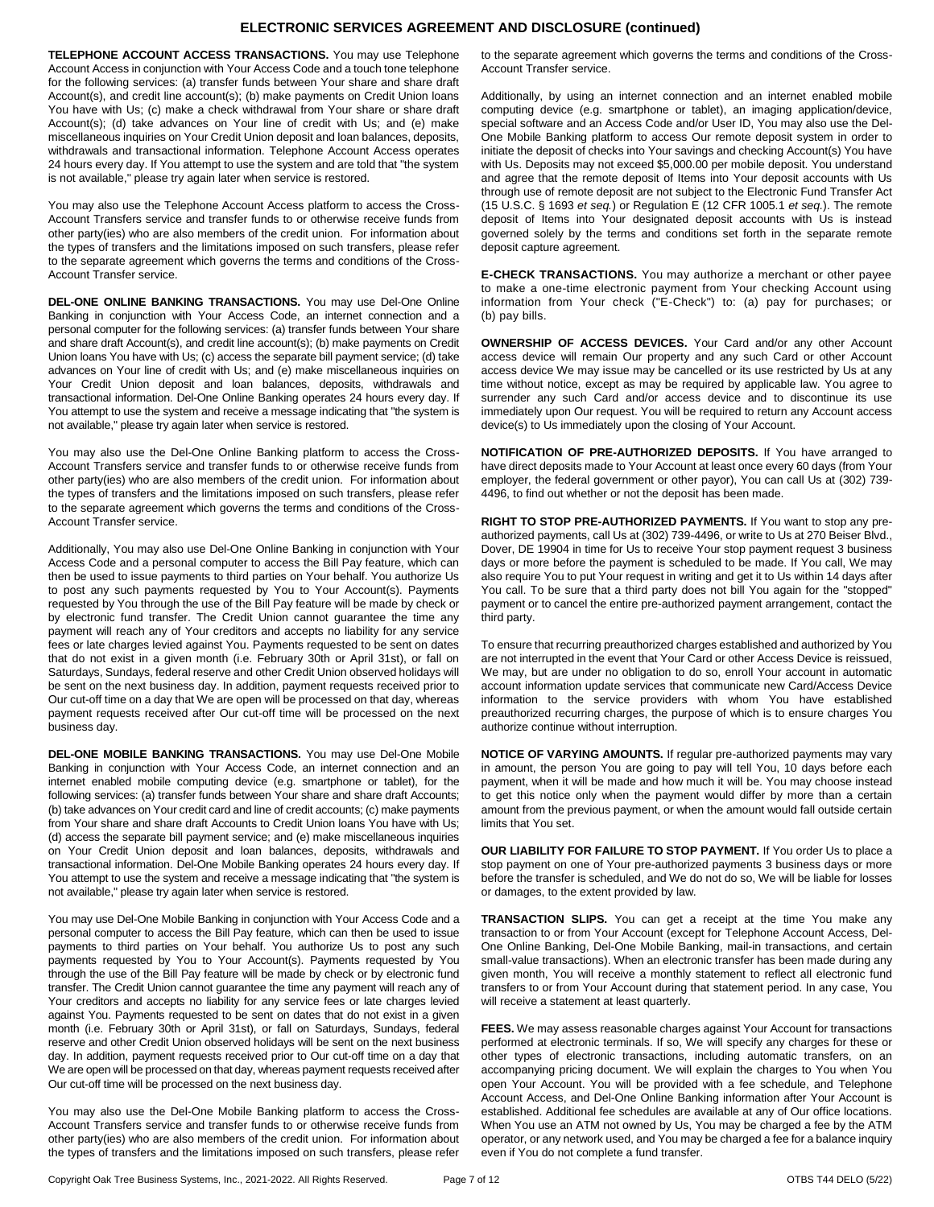## **ELECTRONIC SERVICES AGREEMENT AND DISCLOSURE (continued)**

**TELEPHONE ACCOUNT ACCESS TRANSACTIONS.** You may use Telephone Account Access in conjunction with Your Access Code and a touch tone telephone for the following services: (a) transfer funds between Your share and share draft Account(s), and credit line account(s); (b) make payments on Credit Union loans You have with Us; (c) make a check withdrawal from Your share or share draft Account(s); (d) take advances on Your line of credit with Us; and (e) make miscellaneous inquiries on Your Credit Union deposit and loan balances, deposits, withdrawals and transactional information. Telephone Account Access operates 24 hours every day. If You attempt to use the system and are told that "the system is not available," please try again later when service is restored.

You may also use the Telephone Account Access platform to access the Cross-Account Transfers service and transfer funds to or otherwise receive funds from other party(ies) who are also members of the credit union. For information about the types of transfers and the limitations imposed on such transfers, please refer to the separate agreement which governs the terms and conditions of the Cross-Account Transfer service.

**DEL-ONE ONLINE BANKING TRANSACTIONS.** You may use Del-One Online Banking in conjunction with Your Access Code, an internet connection and a personal computer for the following services: (a) transfer funds between Your share and share draft Account(s), and credit line account(s); (b) make payments on Credit Union loans You have with Us; (c) access the separate bill payment service; (d) take advances on Your line of credit with Us; and (e) make miscellaneous inquiries on Your Credit Union deposit and loan balances, deposits, withdrawals and transactional information. Del-One Online Banking operates 24 hours every day. If You attempt to use the system and receive a message indicating that "the system is not available," please try again later when service is restored.

You may also use the Del-One Online Banking platform to access the Cross-Account Transfers service and transfer funds to or otherwise receive funds from other party(ies) who are also members of the credit union. For information about the types of transfers and the limitations imposed on such transfers, please refer to the separate agreement which governs the terms and conditions of the Cross-Account Transfer service.

Additionally, You may also use Del-One Online Banking in conjunction with Your Access Code and a personal computer to access the Bill Pay feature, which can then be used to issue payments to third parties on Your behalf. You authorize Us to post any such payments requested by You to Your Account(s). Payments requested by You through the use of the Bill Pay feature will be made by check or by electronic fund transfer. The Credit Union cannot guarantee the time any payment will reach any of Your creditors and accepts no liability for any service fees or late charges levied against You. Payments requested to be sent on dates that do not exist in a given month (i.e. February 30th or April 31st), or fall on Saturdays, Sundays, federal reserve and other Credit Union observed holidays will be sent on the next business day. In addition, payment requests received prior to Our cut-off time on a day that We are open will be processed on that day, whereas payment requests received after Our cut-off time will be processed on the next business day.

**DEL-ONE MOBILE BANKING TRANSACTIONS.** You may use Del-One Mobile Banking in conjunction with Your Access Code, an internet connection and an internet enabled mobile computing device (e.g. smartphone or tablet), for the following services: (a) transfer funds between Your share and share draft Accounts; (b) take advances on Your credit card and line of credit accounts; (c) make payments from Your share and share draft Accounts to Credit Union loans You have with Us; (d) access the separate bill payment service; and (e) make miscellaneous inquiries on Your Credit Union deposit and loan balances, deposits, withdrawals and transactional information. Del-One Mobile Banking operates 24 hours every day. If You attempt to use the system and receive a message indicating that "the system is not available," please try again later when service is restored.

You may use Del-One Mobile Banking in conjunction with Your Access Code and a personal computer to access the Bill Pay feature, which can then be used to issue payments to third parties on Your behalf. You authorize Us to post any such payments requested by You to Your Account(s). Payments requested by You through the use of the Bill Pay feature will be made by check or by electronic fund transfer. The Credit Union cannot guarantee the time any payment will reach any of Your creditors and accepts no liability for any service fees or late charges levied against You. Payments requested to be sent on dates that do not exist in a given month (i.e. February 30th or April 31st), or fall on Saturdays, Sundays, federal reserve and other Credit Union observed holidays will be sent on the next business day. In addition, payment requests received prior to Our cut-off time on a day that We are open will be processed on that day, whereas payment requests received after Our cut-off time will be processed on the next business day.

You may also use the Del-One Mobile Banking platform to access the Cross-Account Transfers service and transfer funds to or otherwise receive funds from other party(ies) who are also members of the credit union. For information about the types of transfers and the limitations imposed on such transfers, please refer

to the separate agreement which governs the terms and conditions of the Cross-Account Transfer service.

Additionally, by using an internet connection and an internet enabled mobile computing device (e.g. smartphone or tablet), an imaging application/device, special software and an Access Code and/or User ID, You may also use the Del-One Mobile Banking platform to access Our remote deposit system in order to initiate the deposit of checks into Your savings and checking Account(s) You have with Us. Deposits may not exceed \$5,000.00 per mobile deposit. You understand and agree that the remote deposit of Items into Your deposit accounts with Us through use of remote deposit are not subject to the Electronic Fund Transfer Act (15 U.S.C. § 1693 *et seq.*) or Regulation E (12 CFR 1005.1 *et seq.*). The remote deposit of Items into Your designated deposit accounts with Us is instead governed solely by the terms and conditions set forth in the separate remote deposit capture agreement.

**E-CHECK TRANSACTIONS.** You may authorize a merchant or other payee to make a one-time electronic payment from Your checking Account using information from Your check ("E-Check") to: (a) pay for purchases; or (b) pay bills.

**OWNERSHIP OF ACCESS DEVICES.** Your Card and/or any other Account access device will remain Our property and any such Card or other Account access device We may issue may be cancelled or its use restricted by Us at any time without notice, except as may be required by applicable law. You agree to surrender any such Card and/or access device and to discontinue its use immediately upon Our request. You will be required to return any Account access device(s) to Us immediately upon the closing of Your Account.

**NOTIFICATION OF PRE-AUTHORIZED DEPOSITS.** If You have arranged to have direct deposits made to Your Account at least once every 60 days (from Your employer, the federal government or other payor), You can call Us at (302) 739- 4496, to find out whether or not the deposit has been made.

**RIGHT TO STOP PRE-AUTHORIZED PAYMENTS.** If You want to stop any preauthorized payments, call Us at (302) 739-4496, or write to Us at 270 Beiser Blvd., Dover, DE 19904 in time for Us to receive Your stop payment request 3 business days or more before the payment is scheduled to be made. If You call, We may also require You to put Your request in writing and get it to Us within 14 days after You call. To be sure that a third party does not bill You again for the "stopped" payment or to cancel the entire pre-authorized payment arrangement, contact the third party.

To ensure that recurring preauthorized charges established and authorized by You are not interrupted in the event that Your Card or other Access Device is reissued, We may, but are under no obligation to do so, enroll Your account in automatic account information update services that communicate new Card/Access Device information to the service providers with whom You have established preauthorized recurring charges, the purpose of which is to ensure charges You authorize continue without interruption.

**NOTICE OF VARYING AMOUNTS.** If regular pre-authorized payments may vary in amount, the person You are going to pay will tell You, 10 days before each payment, when it will be made and how much it will be. You may choose instead to get this notice only when the payment would differ by more than a certain amount from the previous payment, or when the amount would fall outside certain limits that You set.

**OUR LIABILITY FOR FAILURE TO STOP PAYMENT.** If You order Us to place a stop payment on one of Your pre-authorized payments 3 business days or more before the transfer is scheduled, and We do not do so, We will be liable for losses or damages, to the extent provided by law.

**TRANSACTION SLIPS.** You can get a receipt at the time You make any transaction to or from Your Account (except for Telephone Account Access, Del-One Online Banking, Del-One Mobile Banking, mail-in transactions, and certain small-value transactions). When an electronic transfer has been made during any given month, You will receive a monthly statement to reflect all electronic fund transfers to or from Your Account during that statement period. In any case, You will receive a statement at least quarterly.

**FEES.** We may assess reasonable charges against Your Account for transactions performed at electronic terminals. If so, We will specify any charges for these or other types of electronic transactions, including automatic transfers, on an accompanying pricing document. We will explain the charges to You when You open Your Account. You will be provided with a fee schedule, and Telephone Account Access, and Del-One Online Banking information after Your Account is established. Additional fee schedules are available at any of Our office locations. When You use an ATM not owned by Us, You may be charged a fee by the ATM operator, or any network used, and You may be charged a fee for a balance inquiry even if You do not complete a fund transfer.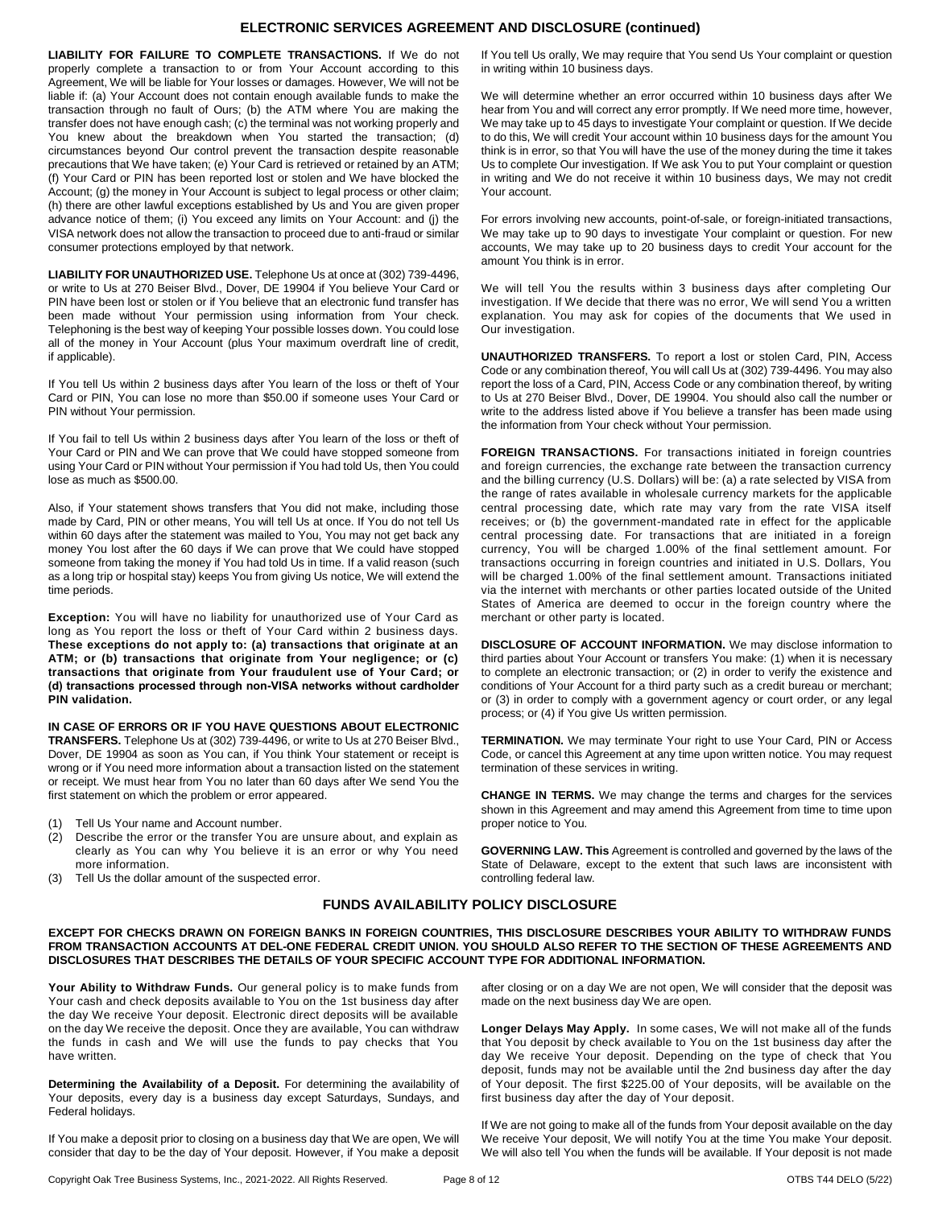## **ELECTRONIC SERVICES AGREEMENT AND DISCLOSURE (continued)**

**LIABILITY FOR FAILURE TO COMPLETE TRANSACTIONS.** If We do not properly complete a transaction to or from Your Account according to this Agreement, We will be liable for Your losses or damages. However, We will not be liable if: (a) Your Account does not contain enough available funds to make the transaction through no fault of Ours; (b) the ATM where You are making the transfer does not have enough cash; (c) the terminal was not working properly and You knew about the breakdown when You started the transaction; (d) circumstances beyond Our control prevent the transaction despite reasonable precautions that We have taken; (e) Your Card is retrieved or retained by an ATM; (f) Your Card or PIN has been reported lost or stolen and We have blocked the Account; (g) the money in Your Account is subject to legal process or other claim; (h) there are other lawful exceptions established by Us and You are given proper advance notice of them; (i) You exceed any limits on Your Account: and (j) the VISA network does not allow the transaction to proceed due to anti-fraud or similar consumer protections employed by that network.

**LIABILITY FOR UNAUTHORIZED USE.** Telephone Us at once at (302) 739-4496, or write to Us at 270 Beiser Blvd., Dover, DE 19904 if You believe Your Card or PIN have been lost or stolen or if You believe that an electronic fund transfer has been made without Your permission using information from Your check. Telephoning is the best way of keeping Your possible losses down. You could lose all of the money in Your Account (plus Your maximum overdraft line of credit, if applicable).

If You tell Us within 2 business days after You learn of the loss or theft of Your Card or PIN, You can lose no more than \$50.00 if someone uses Your Card or PIN without Your permission.

If You fail to tell Us within 2 business days after You learn of the loss or theft of Your Card or PIN and We can prove that We could have stopped someone from using Your Card or PIN without Your permission if You had told Us, then You could lose as much as \$500.00.

Also, if Your statement shows transfers that You did not make, including those made by Card, PIN or other means, You will tell Us at once. If You do not tell Us within 60 days after the statement was mailed to You, You may not get back any money You lost after the 60 days if We can prove that We could have stopped someone from taking the money if You had told Us in time. If a valid reason (such as a long trip or hospital stay) keeps You from giving Us notice, We will extend the time periods.

**Exception:** You will have no liability for unauthorized use of Your Card as long as You report the loss or theft of Your Card within 2 business days. **These exceptions do not apply to: (a) transactions that originate at an ATM; or (b) transactions that originate from Your negligence; or (c) transactions that originate from Your fraudulent use of Your Card; or (d) transactions processed through non-VISA networks without cardholder PIN validation.**

**IN CASE OF ERRORS OR IF YOU HAVE QUESTIONS ABOUT ELECTRONIC TRANSFERS.** Telephone Us at (302) 739-4496, or write to Us at 270 Beiser Blvd., Dover, DE 19904 as soon as You can, if You think Your statement or receipt is wrong or if You need more information about a transaction listed on the statement or receipt. We must hear from You no later than 60 days after We send You the first statement on which the problem or error appeared.

- (1) Tell Us Your name and Account number.
- (2) Describe the error or the transfer You are unsure about, and explain as clearly as You can why You believe it is an error or why You need more information.
- (3) Tell Us the dollar amount of the suspected error.

If You tell Us orally, We may require that You send Us Your complaint or question in writing within 10 business days.

We will determine whether an error occurred within 10 business days after We hear from You and will correct any error promptly. If We need more time, however, We may take up to 45 days to investigate Your complaint or question. If We decide to do this, We will credit Your account within 10 business days for the amount You think is in error, so that You will have the use of the money during the time it takes Us to complete Our investigation. If We ask You to put Your complaint or question in writing and We do not receive it within 10 business days, We may not credit Your account.

For errors involving new accounts, point-of-sale, or foreign-initiated transactions, We may take up to 90 days to investigate Your complaint or question. For new accounts, We may take up to 20 business days to credit Your account for the amount You think is in error.

We will tell You the results within 3 business days after completing Our investigation. If We decide that there was no error, We will send You a written explanation. You may ask for copies of the documents that We used in Our investigation.

**UNAUTHORIZED TRANSFERS.** To report a lost or stolen Card, PIN, Access Code or any combination thereof, You will call Us at (302) 739-4496. You may also report the loss of a Card, PIN, Access Code or any combination thereof, by writing to Us at 270 Beiser Blvd., Dover, DE 19904. You should also call the number or write to the address listed above if You believe a transfer has been made using the information from Your check without Your permission.

**FOREIGN TRANSACTIONS.** For transactions initiated in foreign countries and foreign currencies, the exchange rate between the transaction currency and the billing currency (U.S. Dollars) will be: (a) a rate selected by VISA from the range of rates available in wholesale currency markets for the applicable central processing date, which rate may vary from the rate VISA itself receives; or (b) the government-mandated rate in effect for the applicable central processing date. For transactions that are initiated in a foreign currency, You will be charged 1.00% of the final settlement amount. For transactions occurring in foreign countries and initiated in U.S. Dollars, You will be charged 1.00% of the final settlement amount. Transactions initiated via the internet with merchants or other parties located outside of the United States of America are deemed to occur in the foreign country where the merchant or other party is located.

**DISCLOSURE OF ACCOUNT INFORMATION.** We may disclose information to third parties about Your Account or transfers You make: (1) when it is necessary to complete an electronic transaction; or (2) in order to verify the existence and conditions of Your Account for a third party such as a credit bureau or merchant; or (3) in order to comply with a government agency or court order, or any legal process; or (4) if You give Us written permission.

**TERMINATION.** We may terminate Your right to use Your Card, PIN or Access Code, or cancel this Agreement at any time upon written notice. You may request termination of these services in writing.

**CHANGE IN TERMS.** We may change the terms and charges for the services shown in this Agreement and may amend this Agreement from time to time upon proper notice to You.

**GOVERNING LAW. This** Agreement is controlled and governed by the laws of the State of Delaware, except to the extent that such laws are inconsistent with controlling federal law.

#### **FUNDS AVAILABILITY POLICY DISCLOSURE**

#### **EXCEPT FOR CHECKS DRAWN ON FOREIGN BANKS IN FOREIGN COUNTRIES, THIS DISCLOSURE DESCRIBES YOUR ABILITY TO WITHDRAW FUNDS FROM TRANSACTION ACCOUNTS AT DEL-ONE FEDERAL CREDIT UNION. YOU SHOULD ALSO REFER TO THE SECTION OF THESE AGREEMENTS AND DISCLOSURES THAT DESCRIBES THE DETAILS OF YOUR SPECIFIC ACCOUNT TYPE FOR ADDITIONAL INFORMATION.**

**Your Ability to Withdraw Funds.** Our general policy is to make funds from Your cash and check deposits available to You on the 1st business day after the day We receive Your deposit. Electronic direct deposits will be available on the day We receive the deposit. Once they are available, You can withdraw the funds in cash and We will use the funds to pay checks that You have written.

**Determining the Availability of a Deposit.** For determining the availability of Your deposits, every day is a business day except Saturdays, Sundays, and Federal holidays.

If You make a deposit prior to closing on a business day that We are open, We will consider that day to be the day of Your deposit. However, if You make a deposit

after closing or on a day We are not open, We will consider that the deposit was made on the next business day We are open.

**Longer Delays May Apply.** In some cases, We will not make all of the funds that You deposit by check available to You on the 1st business day after the day We receive Your deposit. Depending on the type of check that You deposit, funds may not be available until the 2nd business day after the day of Your deposit. The first \$225.00 of Your deposits, will be available on the first business day after the day of Your deposit.

If We are not going to make all of the funds from Your deposit available on the day We receive Your deposit, We will notify You at the time You make Your deposit. We will also tell You when the funds will be available. If Your deposit is not made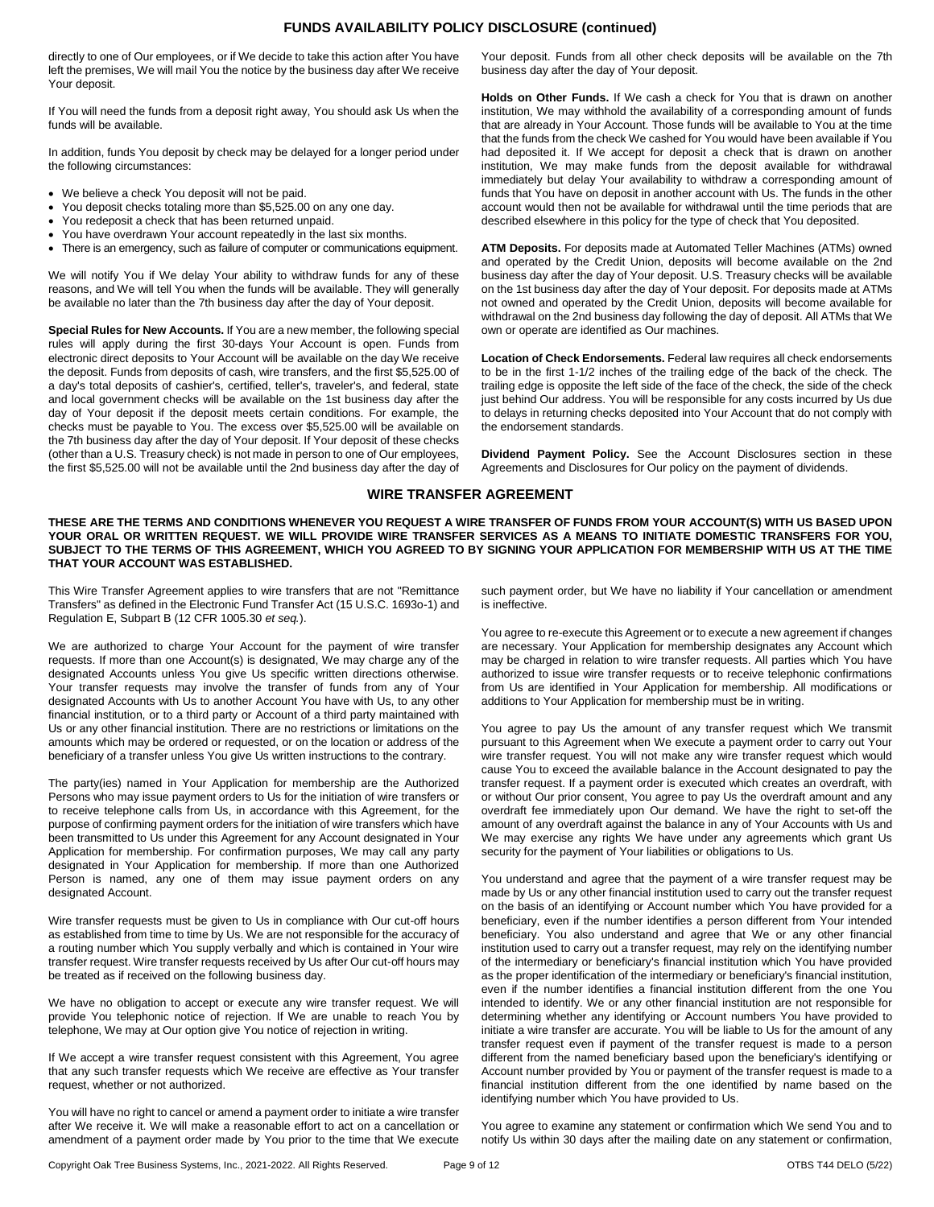## **FUNDS AVAILABILITY POLICY DISCLOSURE (continued)**

directly to one of Our employees, or if We decide to take this action after You have left the premises, We will mail You the notice by the business day after We receive Your deposit.

If You will need the funds from a deposit right away, You should ask Us when the funds will be available.

In addition, funds You deposit by check may be delayed for a longer period under the following circumstances:

- We believe a check You deposit will not be paid.
- You deposit checks totaling more than \$5,525.00 on any one day.
- You redeposit a check that has been returned unpaid.
- You have overdrawn Your account repeatedly in the last six months.
- There is an emergency, such as failure of computer or communications equipment.

We will notify You if We delay Your ability to withdraw funds for any of these reasons, and We will tell You when the funds will be available. They will generally be available no later than the 7th business day after the day of Your deposit.

**Special Rules for New Accounts.** If You are a new member, the following special rules will apply during the first 30-days Your Account is open. Funds from electronic direct deposits to Your Account will be available on the day We receive the deposit. Funds from deposits of cash, wire transfers, and the first \$5,525.00 of a day's total deposits of cashier's, certified, teller's, traveler's, and federal, state and local government checks will be available on the 1st business day after the day of Your deposit if the deposit meets certain conditions. For example, the checks must be payable to You. The excess over \$5,525.00 will be available on the 7th business day after the day of Your deposit. If Your deposit of these checks (other than a U.S. Treasury check) is not made in person to one of Our employees, the first \$5,525.00 will not be available until the 2nd business day after the day of

Your deposit. Funds from all other check deposits will be available on the 7th business day after the day of Your deposit.

**Holds on Other Funds.** If We cash a check for You that is drawn on another institution, We may withhold the availability of a corresponding amount of funds that are already in Your Account. Those funds will be available to You at the time that the funds from the check We cashed for You would have been available if You had deposited it. If We accept for deposit a check that is drawn on another institution, We may make funds from the deposit available for withdrawal immediately but delay Your availability to withdraw a corresponding amount of funds that You have on deposit in another account with Us. The funds in the other account would then not be available for withdrawal until the time periods that are described elsewhere in this policy for the type of check that You deposited.

**ATM Deposits.** For deposits made at Automated Teller Machines (ATMs) owned and operated by the Credit Union, deposits will become available on the 2nd business day after the day of Your deposit. U.S. Treasury checks will be available on the 1st business day after the day of Your deposit. For deposits made at ATMs not owned and operated by the Credit Union, deposits will become available for withdrawal on the 2nd business day following the day of deposit. All ATMs that We own or operate are identified as Our machines.

**Location of Check Endorsements.** Federal law requires all check endorsements to be in the first 1-1/2 inches of the trailing edge of the back of the check. The trailing edge is opposite the left side of the face of the check, the side of the check just behind Our address. You will be responsible for any costs incurred by Us due to delays in returning checks deposited into Your Account that do not comply with the endorsement standards.

**Dividend Payment Policy.** See the Account Disclosures section in these Agreements and Disclosures for Our policy on the payment of dividends.

## **WIRE TRANSFER AGREEMENT**

**THESE ARE THE TERMS AND CONDITIONS WHENEVER YOU REQUEST A WIRE TRANSFER OF FUNDS FROM YOUR ACCOUNT(S) WITH US BASED UPON YOUR ORAL OR WRITTEN REQUEST. WE WILL PROVIDE WIRE TRANSFER SERVICES AS A MEANS TO INITIATE DOMESTIC TRANSFERS FOR YOU, SUBJECT TO THE TERMS OF THIS AGREEMENT, WHICH YOU AGREED TO BY SIGNING YOUR APPLICATION FOR MEMBERSHIP WITH US AT THE TIME THAT YOUR ACCOUNT WAS ESTABLISHED.**

This Wire Transfer Agreement applies to wire transfers that are not "Remittance Transfers" as defined in the Electronic Fund Transfer Act (15 U.S.C. 1693o-1) and Regulation E, Subpart B (12 CFR 1005.30 *et seq.*).

We are authorized to charge Your Account for the payment of wire transfer requests. If more than one Account(s) is designated, We may charge any of the designated Accounts unless You give Us specific written directions otherwise. Your transfer requests may involve the transfer of funds from any of Your designated Accounts with Us to another Account You have with Us, to any other financial institution, or to a third party or Account of a third party maintained with Us or any other financial institution. There are no restrictions or limitations on the amounts which may be ordered or requested, or on the location or address of the beneficiary of a transfer unless You give Us written instructions to the contrary.

The party(ies) named in Your Application for membership are the Authorized Persons who may issue payment orders to Us for the initiation of wire transfers or to receive telephone calls from Us, in accordance with this Agreement, for the purpose of confirming payment orders for the initiation of wire transfers which have been transmitted to Us under this Agreement for any Account designated in Your Application for membership. For confirmation purposes, We may call any party designated in Your Application for membership. If more than one Authorized Person is named, any one of them may issue payment orders on any designated Account.

Wire transfer requests must be given to Us in compliance with Our cut-off hours as established from time to time by Us. We are not responsible for the accuracy of a routing number which You supply verbally and which is contained in Your wire transfer request. Wire transfer requests received by Us after Our cut-off hours may be treated as if received on the following business day.

We have no obligation to accept or execute any wire transfer request. We will provide You telephonic notice of rejection. If We are unable to reach You by telephone, We may at Our option give You notice of rejection in writing.

If We accept a wire transfer request consistent with this Agreement, You agree that any such transfer requests which We receive are effective as Your transfer request, whether or not authorized.

You will have no right to cancel or amend a payment order to initiate a wire transfer after We receive it. We will make a reasonable effort to act on a cancellation or amendment of a payment order made by You prior to the time that We execute such payment order, but We have no liability if Your cancellation or amendment is ineffective.

You agree to re-execute this Agreement or to execute a new agreement if changes are necessary. Your Application for membership designates any Account which may be charged in relation to wire transfer requests. All parties which You have authorized to issue wire transfer requests or to receive telephonic confirmations from Us are identified in Your Application for membership. All modifications or additions to Your Application for membership must be in writing.

You agree to pay Us the amount of any transfer request which We transmit pursuant to this Agreement when We execute a payment order to carry out Your wire transfer request. You will not make any wire transfer request which would cause You to exceed the available balance in the Account designated to pay the transfer request. If a payment order is executed which creates an overdraft, with or without Our prior consent, You agree to pay Us the overdraft amount and any overdraft fee immediately upon Our demand. We have the right to set-off the amount of any overdraft against the balance in any of Your Accounts with Us and We may exercise any rights We have under any agreements which grant Us security for the payment of Your liabilities or obligations to Us.

You understand and agree that the payment of a wire transfer request may be made by Us or any other financial institution used to carry out the transfer request on the basis of an identifying or Account number which You have provided for a beneficiary, even if the number identifies a person different from Your intended beneficiary. You also understand and agree that We or any other financial institution used to carry out a transfer request, may rely on the identifying number of the intermediary or beneficiary's financial institution which You have provided as the proper identification of the intermediary or beneficiary's financial institution, even if the number identifies a financial institution different from the one You intended to identify. We or any other financial institution are not responsible for determining whether any identifying or Account numbers You have provided to initiate a wire transfer are accurate. You will be liable to Us for the amount of any transfer request even if payment of the transfer request is made to a person different from the named beneficiary based upon the beneficiary's identifying or Account number provided by You or payment of the transfer request is made to a financial institution different from the one identified by name based on the identifying number which You have provided to Us.

You agree to examine any statement or confirmation which We send You and to notify Us within 30 days after the mailing date on any statement or confirmation,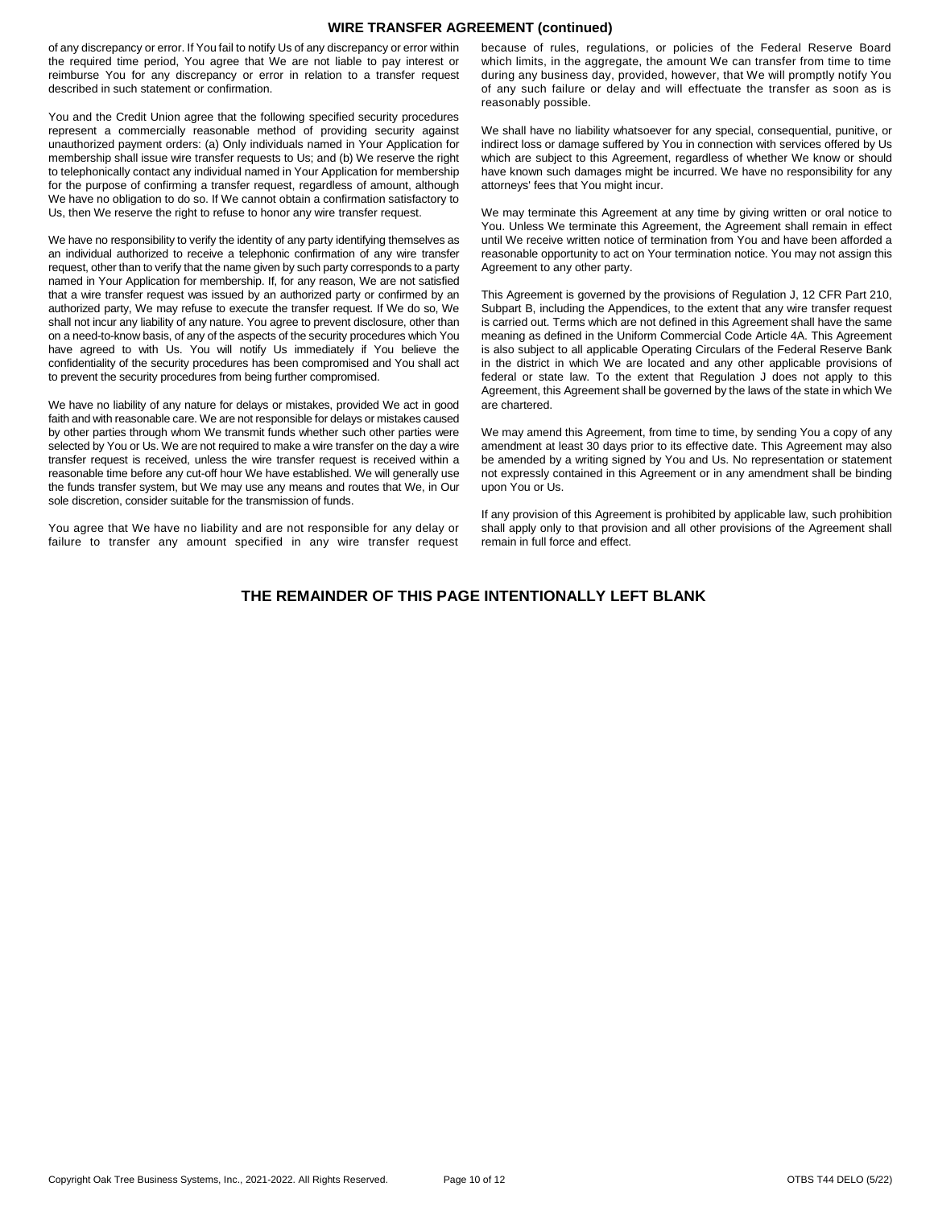## **WIRE TRANSFER AGREEMENT (continued)**

of any discrepancy or error. If You fail to notify Us of any discrepancy or error within the required time period, You agree that We are not liable to pay interest or reimburse You for any discrepancy or error in relation to a transfer request described in such statement or confirmation.

You and the Credit Union agree that the following specified security procedures represent a commercially reasonable method of providing security against unauthorized payment orders: (a) Only individuals named in Your Application for membership shall issue wire transfer requests to Us; and (b) We reserve the right to telephonically contact any individual named in Your Application for membership for the purpose of confirming a transfer request, regardless of amount, although We have no obligation to do so. If We cannot obtain a confirmation satisfactory to Us, then We reserve the right to refuse to honor any wire transfer request.

We have no responsibility to verify the identity of any party identifying themselves as an individual authorized to receive a telephonic confirmation of any wire transfer request, other than to verify that the name given by such party corresponds to a party named in Your Application for membership. If, for any reason, We are not satisfied that a wire transfer request was issued by an authorized party or confirmed by an authorized party, We may refuse to execute the transfer request. If We do so, We shall not incur any liability of any nature. You agree to prevent disclosure, other than on a need-to-know basis, of any of the aspects of the security procedures which You have agreed to with Us. You will notify Us immediately if You believe the confidentiality of the security procedures has been compromised and You shall act to prevent the security procedures from being further compromised.

We have no liability of any nature for delays or mistakes, provided We act in good faith and with reasonable care. We are not responsible for delays or mistakes caused by other parties through whom We transmit funds whether such other parties were selected by You or Us. We are not required to make a wire transfer on the day a wire transfer request is received, unless the wire transfer request is received within a reasonable time before any cut-off hour We have established. We will generally use the funds transfer system, but We may use any means and routes that We, in Our sole discretion, consider suitable for the transmission of funds.

You agree that We have no liability and are not responsible for any delay or failure to transfer any amount specified in any wire transfer request

because of rules, regulations, or policies of the Federal Reserve Board which limits, in the aggregate, the amount We can transfer from time to time during any business day, provided, however, that We will promptly notify You of any such failure or delay and will effectuate the transfer as soon as is reasonably possible.

We shall have no liability whatsoever for any special, consequential, punitive, or indirect loss or damage suffered by You in connection with services offered by Us which are subject to this Agreement, regardless of whether We know or should have known such damages might be incurred. We have no responsibility for any attorneys' fees that You might incur.

We may terminate this Agreement at any time by giving written or oral notice to You. Unless We terminate this Agreement, the Agreement shall remain in effect until We receive written notice of termination from You and have been afforded a reasonable opportunity to act on Your termination notice. You may not assign this Agreement to any other party.

This Agreement is governed by the provisions of Regulation J, 12 CFR Part 210, Subpart B, including the Appendices, to the extent that any wire transfer request is carried out. Terms which are not defined in this Agreement shall have the same meaning as defined in the Uniform Commercial Code Article 4A. This Agreement is also subject to all applicable Operating Circulars of the Federal Reserve Bank in the district in which We are located and any other applicable provisions of federal or state law. To the extent that Regulation J does not apply to this Agreement, this Agreement shall be governed by the laws of the state in which We are chartered.

We may amend this Agreement, from time to time, by sending You a copy of any amendment at least 30 days prior to its effective date. This Agreement may also be amended by a writing signed by You and Us. No representation or statement not expressly contained in this Agreement or in any amendment shall be binding upon You or Us.

If any provision of this Agreement is prohibited by applicable law, such prohibition shall apply only to that provision and all other provisions of the Agreement shall remain in full force and effect.

# **THE REMAINDER OF THIS PAGE INTENTIONALLY LEFT BLANK**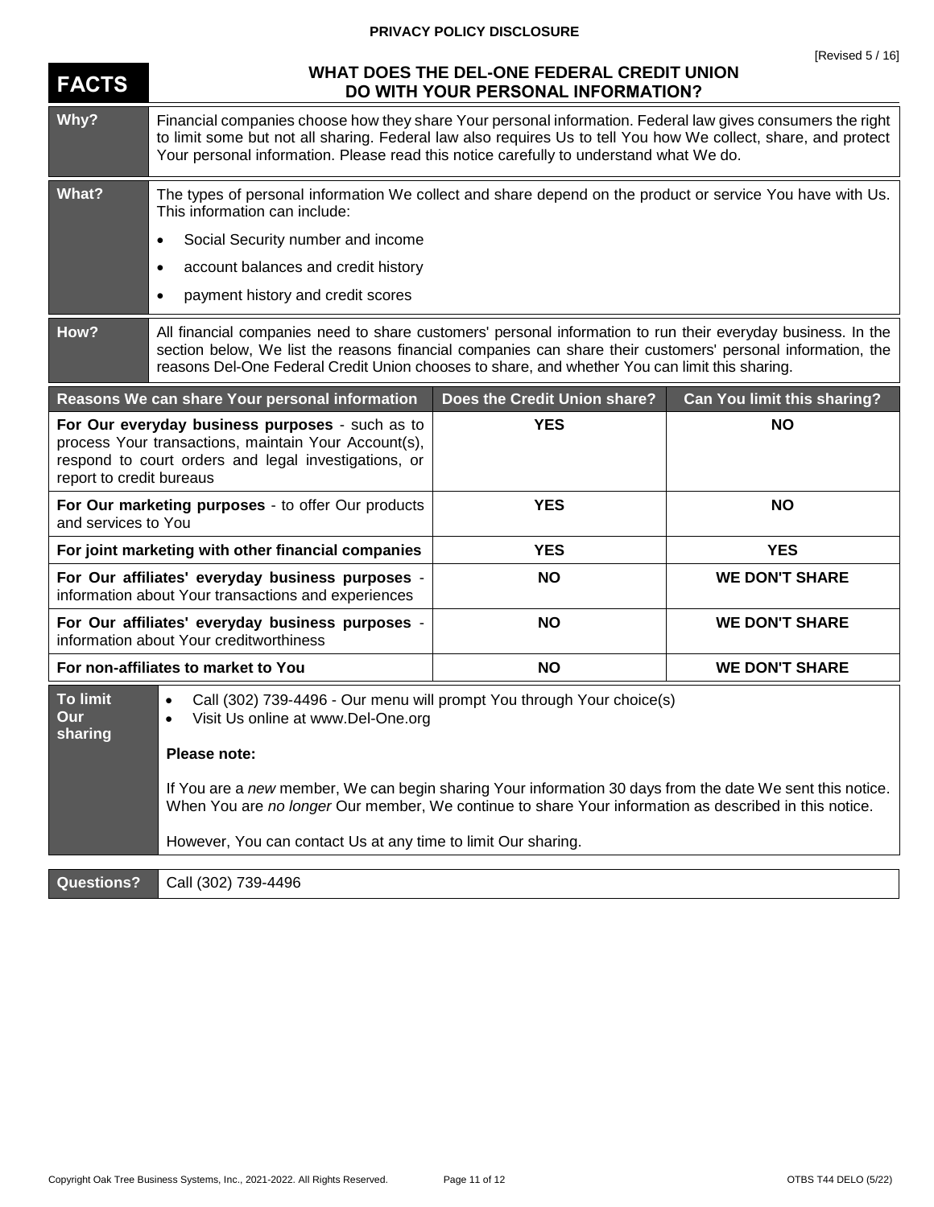# **PRIVACY POLICY DISCLOSURE**

| <b>FACTS</b>                                                                                                                                                                                | WHAT DOES THE DEL-ONE FEDERAL CREDIT UNION<br>DO WITH YOUR PERSONAL INFORMATION?                                                                                                                                                                                                                                              |                              |                                    |
|---------------------------------------------------------------------------------------------------------------------------------------------------------------------------------------------|-------------------------------------------------------------------------------------------------------------------------------------------------------------------------------------------------------------------------------------------------------------------------------------------------------------------------------|------------------------------|------------------------------------|
| Why?                                                                                                                                                                                        | Financial companies choose how they share Your personal information. Federal law gives consumers the right<br>to limit some but not all sharing. Federal law also requires Us to tell You how We collect, share, and protect<br>Your personal information. Please read this notice carefully to understand what We do.        |                              |                                    |
| <b>What?</b>                                                                                                                                                                                | The types of personal information We collect and share depend on the product or service You have with Us.<br>This information can include:                                                                                                                                                                                    |                              |                                    |
|                                                                                                                                                                                             | Social Security number and income<br>$\bullet$                                                                                                                                                                                                                                                                                |                              |                                    |
|                                                                                                                                                                                             | account balances and credit history<br>$\bullet$                                                                                                                                                                                                                                                                              |                              |                                    |
|                                                                                                                                                                                             | payment history and credit scores<br>٠                                                                                                                                                                                                                                                                                        |                              |                                    |
| How?                                                                                                                                                                                        | All financial companies need to share customers' personal information to run their everyday business. In the<br>section below, We list the reasons financial companies can share their customers' personal information, the<br>reasons Del-One Federal Credit Union chooses to share, and whether You can limit this sharing. |                              |                                    |
|                                                                                                                                                                                             | Reasons We can share Your personal information                                                                                                                                                                                                                                                                                | Does the Credit Union share? | <b>Can You limit this sharing?</b> |
| For Our everyday business purposes - such as to<br>process Your transactions, maintain Your Account(s),<br>respond to court orders and legal investigations, or<br>report to credit bureaus |                                                                                                                                                                                                                                                                                                                               | <b>YES</b>                   | <b>NO</b>                          |
| For Our marketing purposes - to offer Our products<br>and services to You                                                                                                                   |                                                                                                                                                                                                                                                                                                                               | <b>YES</b>                   | <b>NO</b>                          |
| For joint marketing with other financial companies                                                                                                                                          |                                                                                                                                                                                                                                                                                                                               | <b>YES</b>                   | <b>YES</b>                         |
| For Our affiliates' everyday business purposes -<br>information about Your transactions and experiences                                                                                     |                                                                                                                                                                                                                                                                                                                               | <b>NO</b>                    | <b>WE DON'T SHARE</b>              |
| For Our affiliates' everyday business purposes -<br>information about Your creditworthiness                                                                                                 |                                                                                                                                                                                                                                                                                                                               | <b>NO</b>                    | <b>WE DON'T SHARE</b>              |
| For non-affiliates to market to You                                                                                                                                                         |                                                                                                                                                                                                                                                                                                                               | <b>NO</b>                    | <b>WE DON'T SHARE</b>              |
| <b>To limit</b><br>Our<br>sharing                                                                                                                                                           | Call (302) 739-4496 - Our menu will prompt You through Your choice(s)<br>$\bullet$<br>Visit Us online at www.Del-One.org<br>$\bullet$                                                                                                                                                                                         |                              |                                    |
|                                                                                                                                                                                             | Please note:                                                                                                                                                                                                                                                                                                                  |                              |                                    |
|                                                                                                                                                                                             | If You are a new member, We can begin sharing Your information 30 days from the date We sent this notice.<br>When You are no longer Our member, We continue to share Your information as described in this notice.                                                                                                            |                              |                                    |
|                                                                                                                                                                                             | However, You can contact Us at any time to limit Our sharing.                                                                                                                                                                                                                                                                 |                              |                                    |
| <b>Questions?</b>                                                                                                                                                                           | Call (302) 739-4496                                                                                                                                                                                                                                                                                                           |                              |                                    |

## Copyright Oak Tree Business Systems, Inc., 2021-2022. All Rights Reserved. Page 11 of 12 OTBS T44 DELO (5/22)